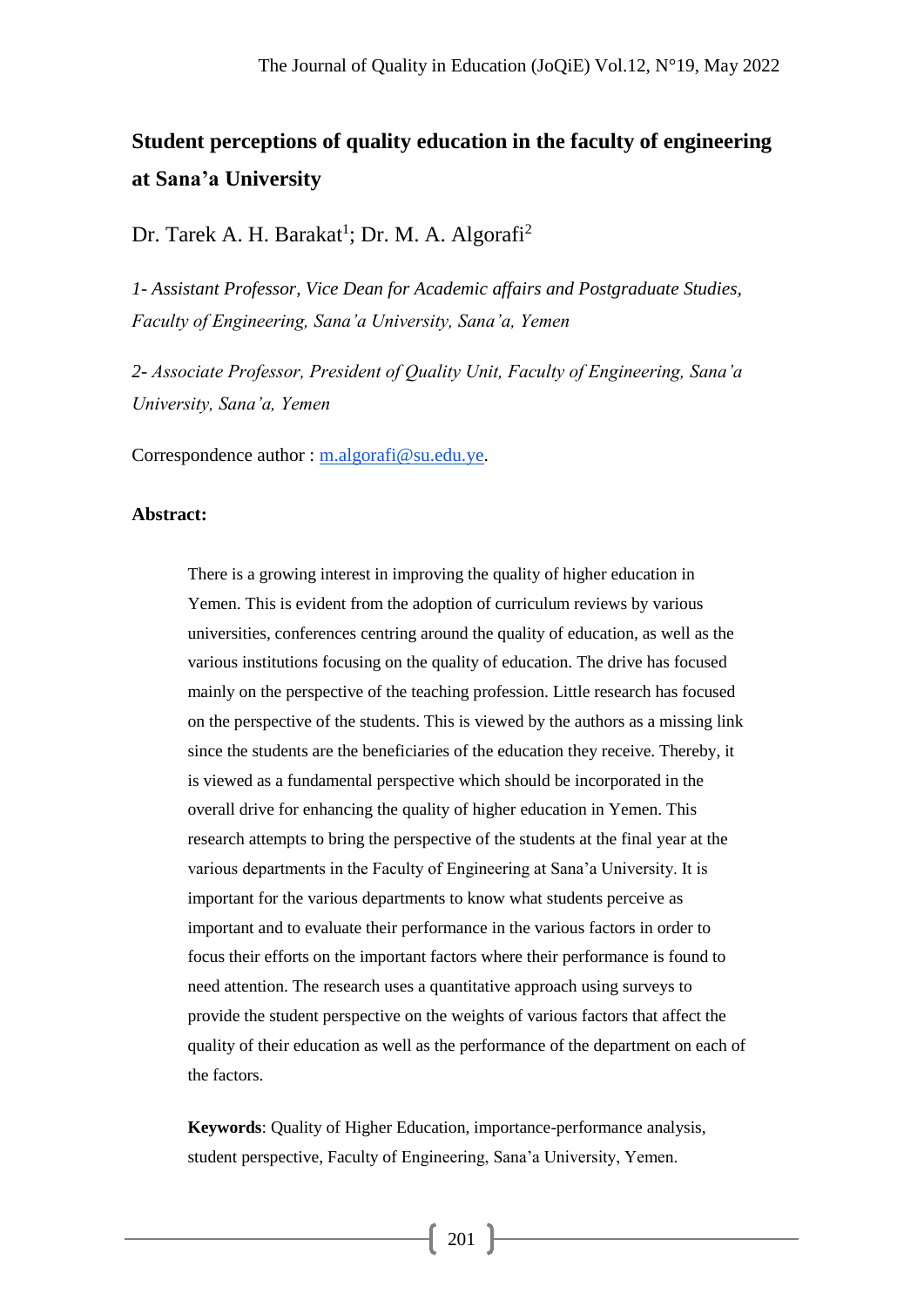# **Student perceptions of quality education in the faculty of engineering at Sana'a University**

Dr. Tarek A. H. Barakat<sup>1</sup>; Dr. M. A. Algorafi<sup>2</sup>

*1- Assistant Professor, Vice Dean for Academic affairs and Postgraduate Studies, Faculty of Engineering, Sana'a University, Sana'a, Yemen*

*2- Associate Professor, President of Quality Unit, Faculty of Engineering, Sana'a University, Sana'a, Yemen*

Correspondence author : [m.algorafi@su.edu.ye.](mailto:m.algorafi@su.edu.ye)

#### **Abstract:**

There is a growing interest in improving the quality of higher education in Yemen. This is evident from the adoption of curriculum reviews by various universities, conferences centring around the quality of education, as well as the various institutions focusing on the quality of education. The drive has focused mainly on the perspective of the teaching profession. Little research has focused on the perspective of the students. This is viewed by the authors as a missing link since the students are the beneficiaries of the education they receive. Thereby, it is viewed as a fundamental perspective which should be incorporated in the overall drive for enhancing the quality of higher education in Yemen. This research attempts to bring the perspective of the students at the final year at the various departments in the Faculty of Engineering at Sana'a University. It is important for the various departments to know what students perceive as important and to evaluate their performance in the various factors in order to focus their efforts on the important factors where their performance is found to need attention. The research uses a quantitative approach using surveys to provide the student perspective on the weights of various factors that affect the quality of their education as well as the performance of the department on each of the factors.

**Keywords**: Quality of Higher Education, importance-performance analysis, student perspective, Faculty of Engineering, Sana'a University, Yemen.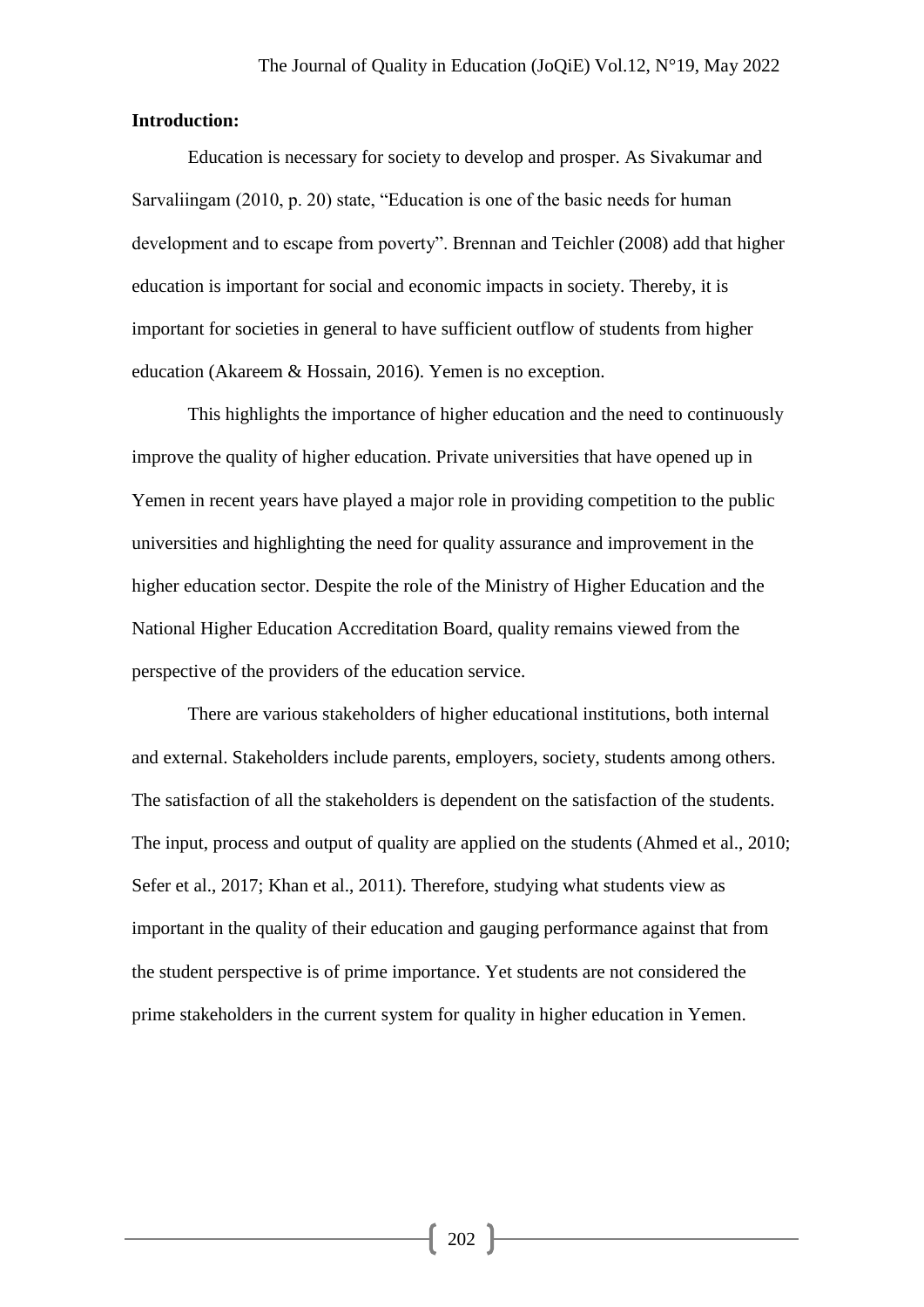### **Introduction:**

Education is necessary for society to develop and prosper. As Sivakumar and Sarvaliingam (2010, p. 20) state, "Education is one of the basic needs for human development and to escape from poverty". Brennan and Teichler (2008) add that higher education is important for social and economic impacts in society. Thereby, it is important for societies in general to have sufficient outflow of students from higher education (Akareem & Hossain, 2016). Yemen is no exception.

This highlights the importance of higher education and the need to continuously improve the quality of higher education. Private universities that have opened up in Yemen in recent years have played a major role in providing competition to the public universities and highlighting the need for quality assurance and improvement in the higher education sector. Despite the role of the Ministry of Higher Education and the National Higher Education Accreditation Board, quality remains viewed from the perspective of the providers of the education service.

There are various stakeholders of higher educational institutions, both internal and external. Stakeholders include parents, employers, society, students among others. The satisfaction of all the stakeholders is dependent on the satisfaction of the students. The input, process and output of quality are applied on the students (Ahmed et al., 2010; Sefer et al., 2017; Khan et al., 2011). Therefore, studying what students view as important in the quality of their education and gauging performance against that from the student perspective is of prime importance. Yet students are not considered the prime stakeholders in the current system for quality in higher education in Yemen.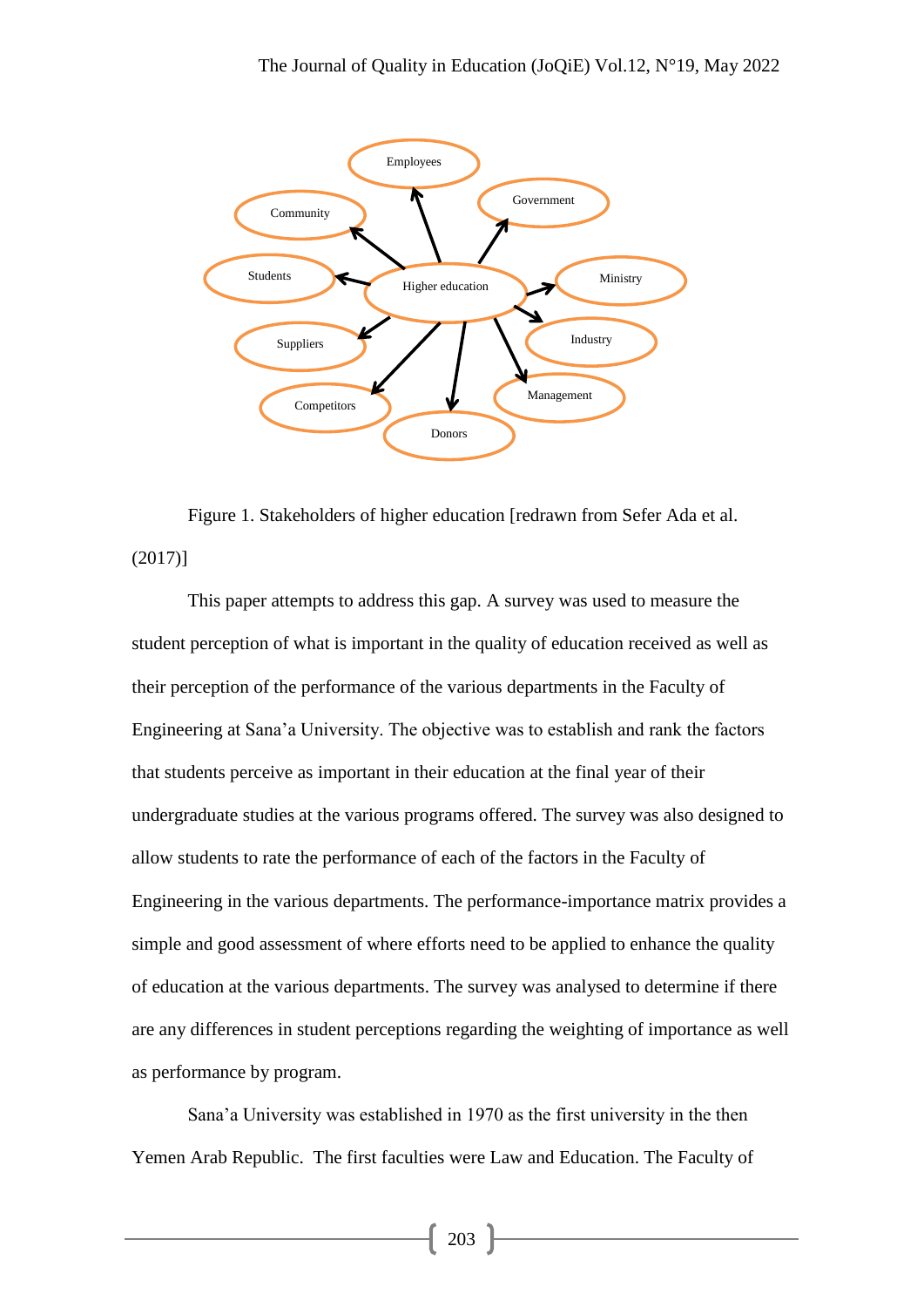

Figure 1. Stakeholders of higher education [redrawn from Sefer Ada et al. (2017)]

This paper attempts to address this gap. A survey was used to measure the student perception of what is important in the quality of education received as well as their perception of the performance of the various departments in the Faculty of Engineering at Sana'a University. The objective was to establish and rank the factors that students perceive as important in their education at the final year of their undergraduate studies at the various programs offered. The survey was also designed to allow students to rate the performance of each of the factors in the Faculty of Engineering in the various departments. The performance-importance matrix provides a simple and good assessment of where efforts need to be applied to enhance the quality of education at the various departments. The survey was analysed to determine if there are any differences in student perceptions regarding the weighting of importance as well as performance by program.

Sana'a University was established in 1970 as the first university in the then Yemen Arab Republic. The first faculties were Law and Education. The Faculty of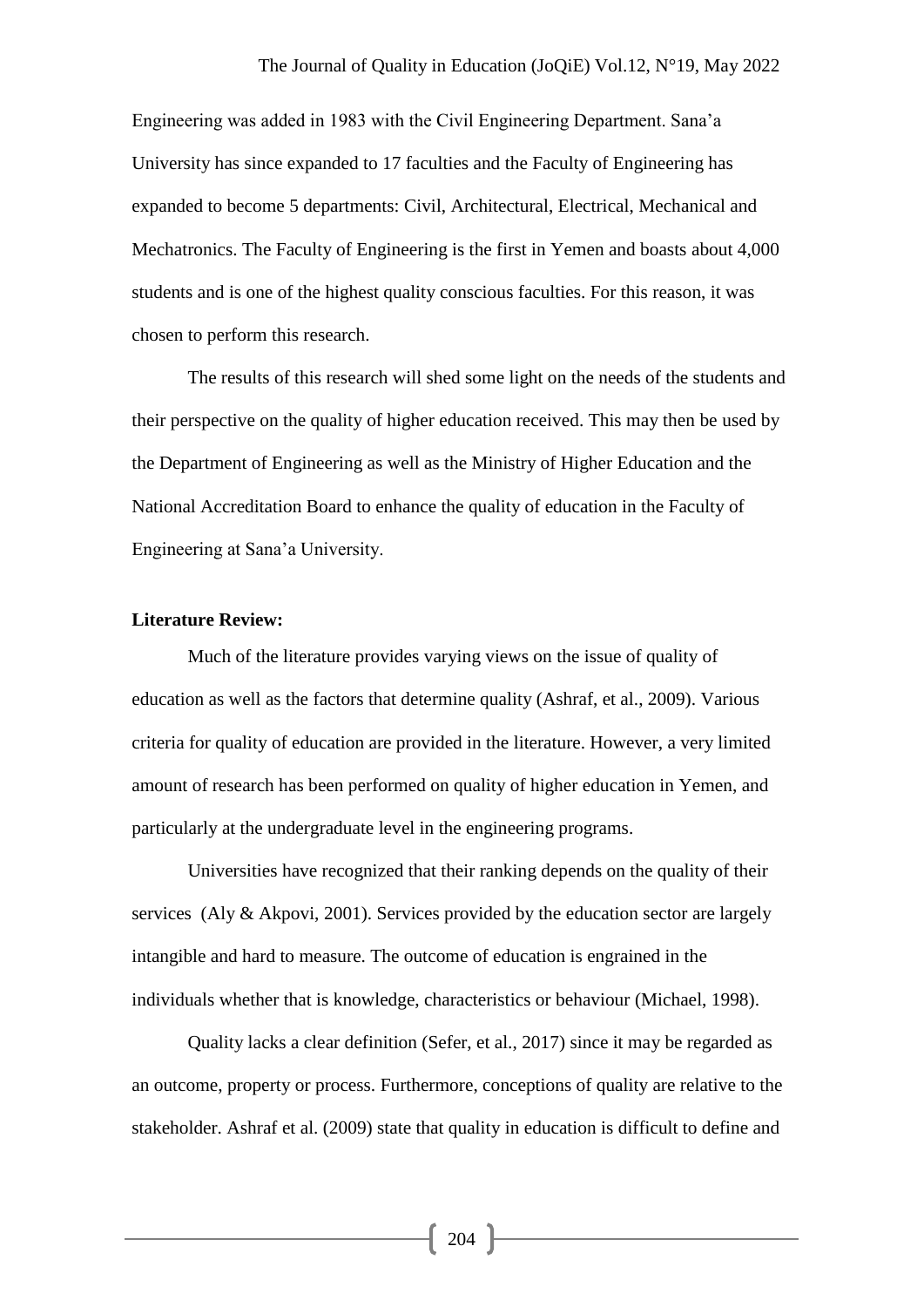Engineering was added in 1983 with the Civil Engineering Department. Sana'a University has since expanded to 17 faculties and the Faculty of Engineering has expanded to become 5 departments: Civil, Architectural, Electrical, Mechanical and Mechatronics. The Faculty of Engineering is the first in Yemen and boasts about 4,000 students and is one of the highest quality conscious faculties. For this reason, it was chosen to perform this research.

The results of this research will shed some light on the needs of the students and their perspective on the quality of higher education received. This may then be used by the Department of Engineering as well as the Ministry of Higher Education and the National Accreditation Board to enhance the quality of education in the Faculty of Engineering at Sana'a University.

## **Literature Review:**

Much of the literature provides varying views on the issue of quality of education as well as the factors that determine quality (Ashraf, et al., 2009). Various criteria for quality of education are provided in the literature. However, a very limited amount of research has been performed on quality of higher education in Yemen, and particularly at the undergraduate level in the engineering programs.

Universities have recognized that their ranking depends on the quality of their services (Aly & Akpovi, 2001). Services provided by the education sector are largely intangible and hard to measure. The outcome of education is engrained in the individuals whether that is knowledge, characteristics or behaviour (Michael, 1998).

Quality lacks a clear definition (Sefer, et al., 2017) since it may be regarded as an outcome, property or process. Furthermore, conceptions of quality are relative to the stakeholder. Ashraf et al. (2009) state that quality in education is difficult to define and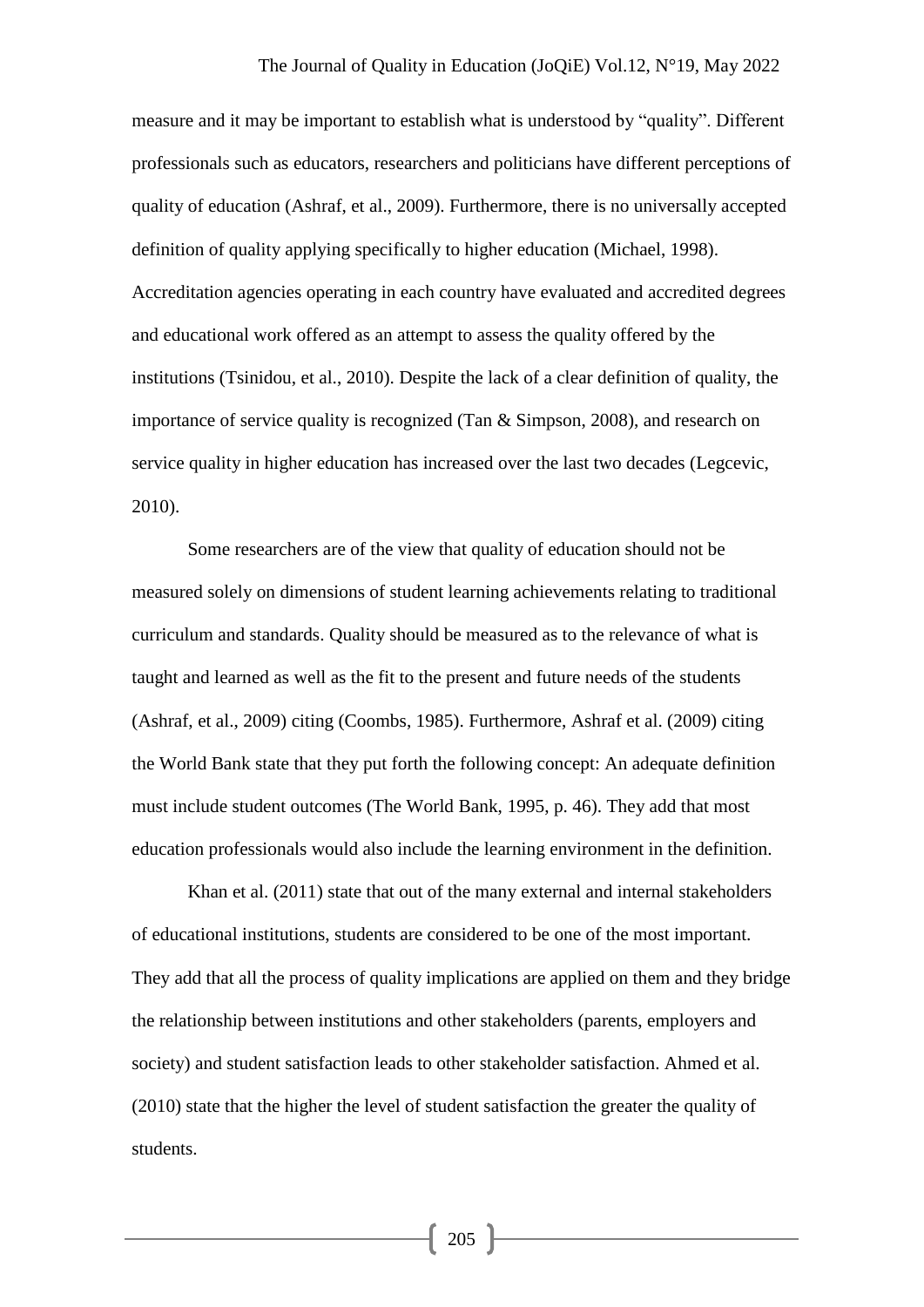measure and it may be important to establish what is understood by "quality". Different professionals such as educators, researchers and politicians have different perceptions of quality of education (Ashraf, et al., 2009). Furthermore, there is no universally accepted definition of quality applying specifically to higher education (Michael, 1998). Accreditation agencies operating in each country have evaluated and accredited degrees and educational work offered as an attempt to assess the quality offered by the institutions (Tsinidou, et al., 2010). Despite the lack of a clear definition of quality, the importance of service quality is recognized (Tan & Simpson, 2008), and research on service quality in higher education has increased over the last two decades (Legcevic, 2010).

Some researchers are of the view that quality of education should not be measured solely on dimensions of student learning achievements relating to traditional curriculum and standards. Quality should be measured as to the relevance of what is taught and learned as well as the fit to the present and future needs of the students (Ashraf, et al., 2009) citing (Coombs, 1985). Furthermore, Ashraf et al. (2009) citing the World Bank state that they put forth the following concept: An adequate definition must include student outcomes (The World Bank, 1995, p. 46). They add that most education professionals would also include the learning environment in the definition.

Khan et al. (2011) state that out of the many external and internal stakeholders of educational institutions, students are considered to be one of the most important. They add that all the process of quality implications are applied on them and they bridge the relationship between institutions and other stakeholders (parents, employers and society) and student satisfaction leads to other stakeholder satisfaction. Ahmed et al. (2010) state that the higher the level of student satisfaction the greater the quality of students.

 $\left[ \begin{array}{c} 205 \end{array} \right]$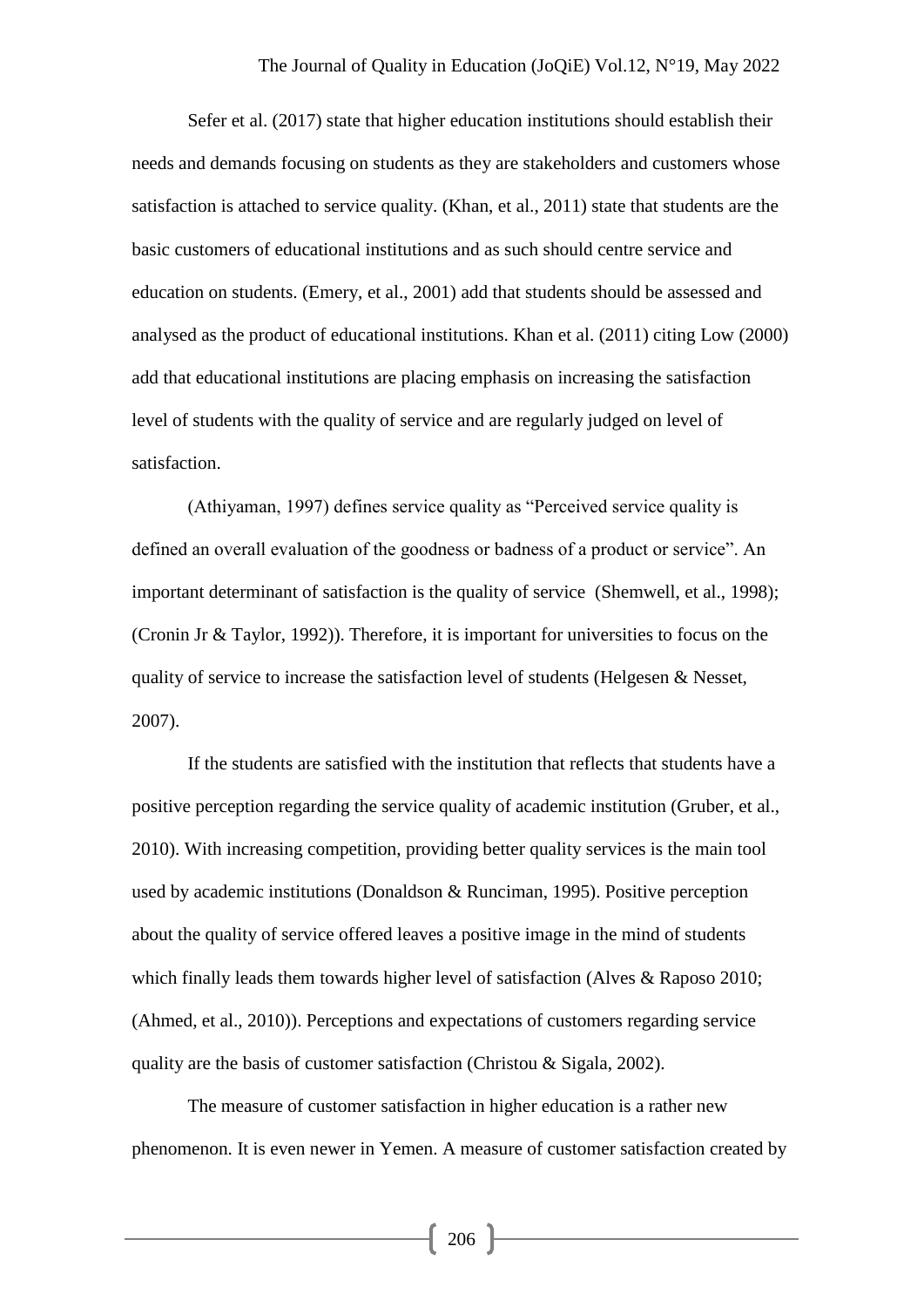#### The Journal of Quality in Education (JoQiE) Vol.12, N°19, May 2022

Sefer et al. (2017) state that higher education institutions should establish their needs and demands focusing on students as they are stakeholders and customers whose satisfaction is attached to service quality. (Khan, et al., 2011) state that students are the basic customers of educational institutions and as such should centre service and education on students. (Emery, et al., 2001) add that students should be assessed and analysed as the product of educational institutions. Khan et al. (2011) citing Low (2000) add that educational institutions are placing emphasis on increasing the satisfaction level of students with the quality of service and are regularly judged on level of satisfaction.

(Athiyaman, 1997) defines service quality as "Perceived service quality is defined an overall evaluation of the goodness or badness of a product or service". An important determinant of satisfaction is the quality of service (Shemwell, et al., 1998); (Cronin Jr & Taylor, 1992)). Therefore, it is important for universities to focus on the quality of service to increase the satisfaction level of students (Helgesen & Nesset, 2007).

If the students are satisfied with the institution that reflects that students have a positive perception regarding the service quality of academic institution (Gruber, et al., 2010). With increasing competition, providing better quality services is the main tool used by academic institutions (Donaldson & Runciman, 1995). Positive perception about the quality of service offered leaves a positive image in the mind of students which finally leads them towards higher level of satisfaction (Alves & Raposo 2010; (Ahmed, et al., 2010)). Perceptions and expectations of customers regarding service quality are the basis of customer satisfaction (Christou & Sigala, 2002).

The measure of customer satisfaction in higher education is a rather new phenomenon. It is even newer in Yemen. A measure of customer satisfaction created by

 $\left\{ 206 \right\}$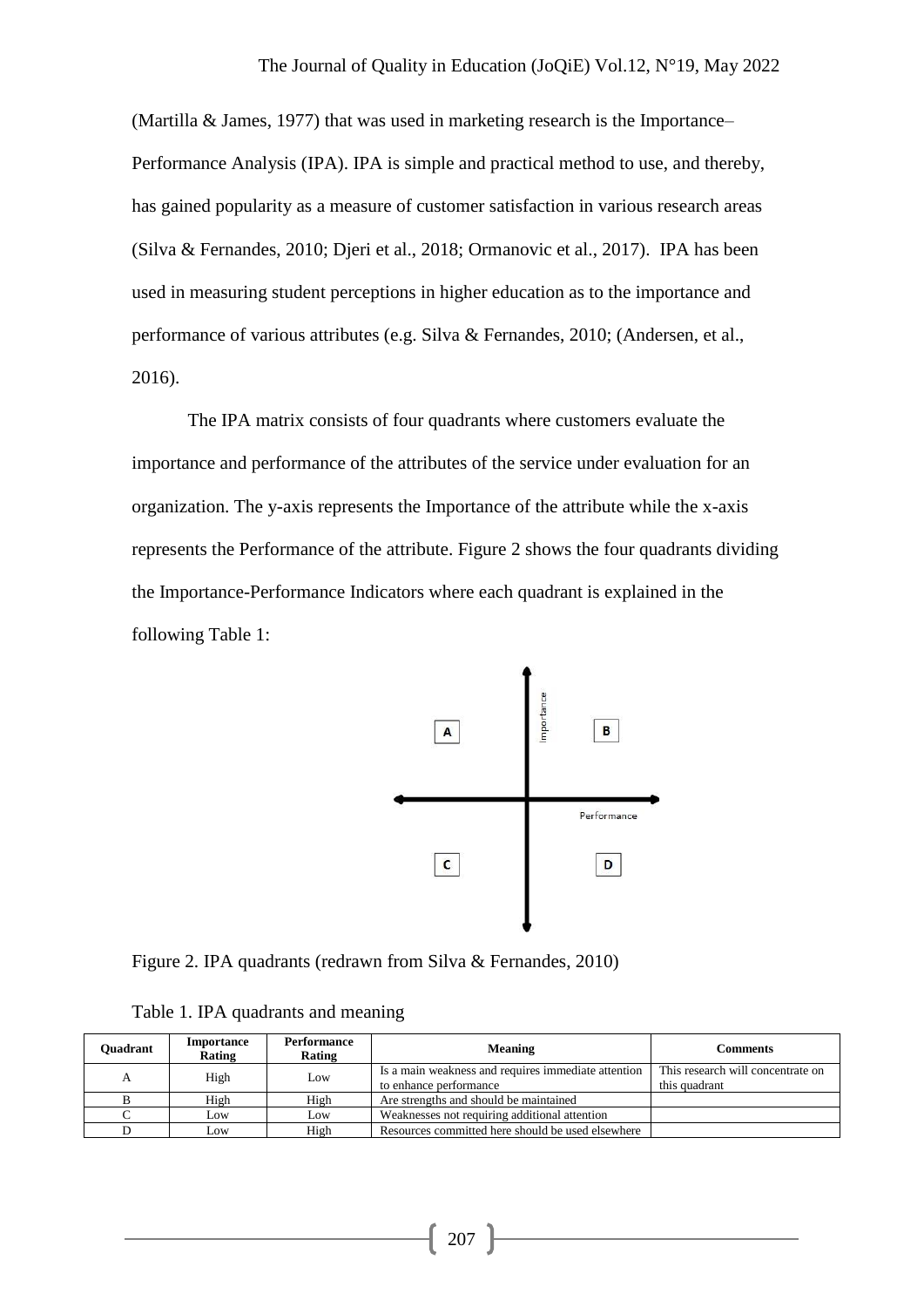(Martilla & James, 1977) that was used in marketing research is the Importance– Performance Analysis (IPA). IPA is simple and practical method to use, and thereby, has gained popularity as a measure of customer satisfaction in various research areas (Silva & Fernandes, 2010; Djeri et al., 2018; Ormanovic et al., 2017). IPA has been used in measuring student perceptions in higher education as to the importance and performance of various attributes (e.g. Silva & Fernandes, 2010; (Andersen, et al., 2016).

The IPA matrix consists of four quadrants where customers evaluate the importance and performance of the attributes of the service under evaluation for an organization. The y-axis represents the Importance of the attribute while the x-axis represents the Performance of the attribute. Figure 2 shows the four quadrants dividing the Importance-Performance Indicators where each quadrant is explained in the following Table 1:



Figure 2. IPA quadrants (redrawn from Silva & Fernandes, 2010)

| <b>Ouadrant</b> | Importance<br>Rating | Performance<br>Rating | <b>Meaning</b>                                      | Comments                          |
|-----------------|----------------------|-----------------------|-----------------------------------------------------|-----------------------------------|
| А               | High                 | Low                   | Is a main weakness and requires immediate attention | This research will concentrate on |
|                 |                      |                       | to enhance performance                              | this quadrant                     |
|                 | High                 | High                  | Are strengths and should be maintained              |                                   |
|                 | Low                  | Low                   | Weaknesses not requiring additional attention       |                                   |
|                 | Low                  | High                  | Resources committed here should be used elsewhere   |                                   |

Table 1. IPA quadrants and meaning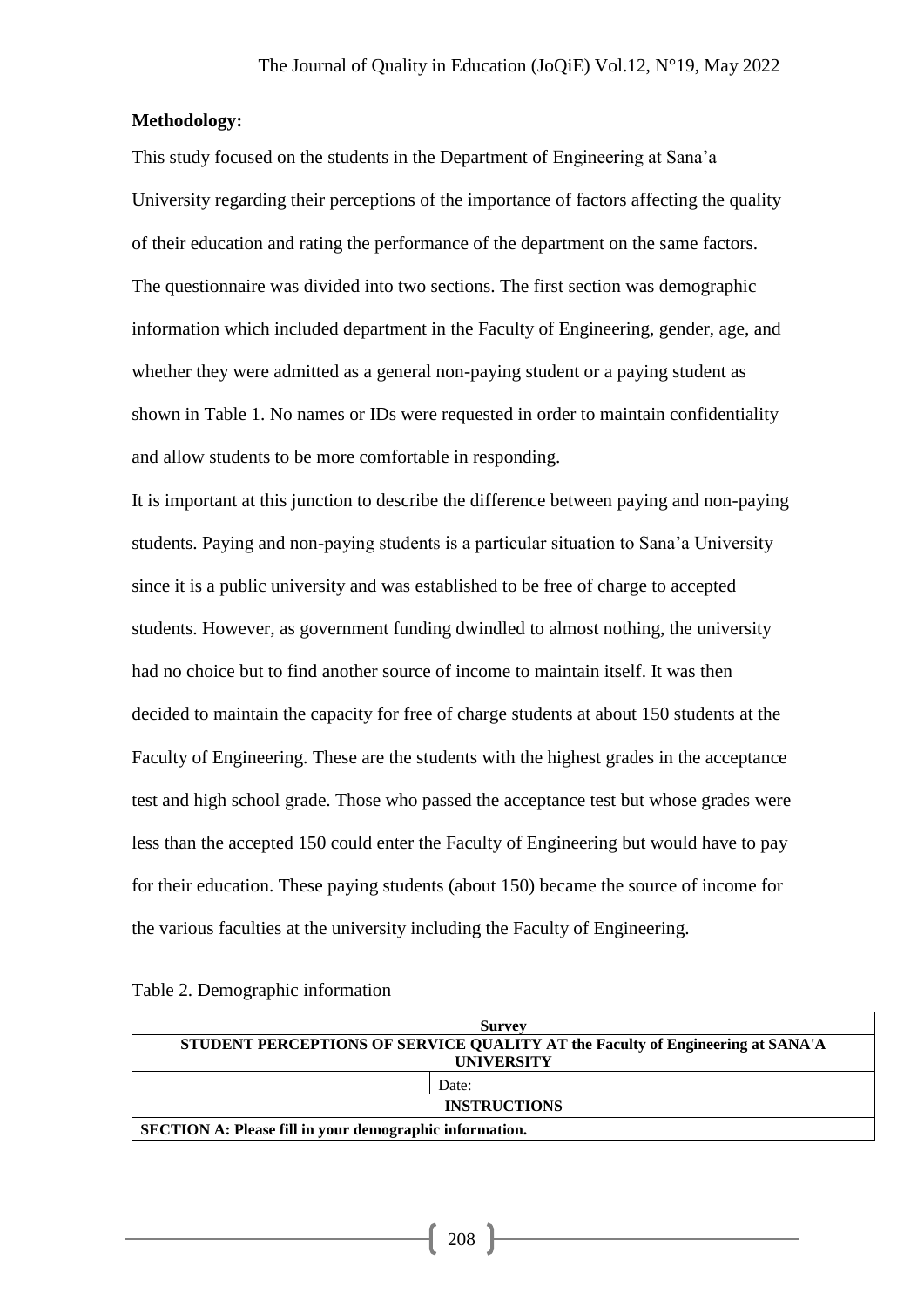## **Methodology:**

This study focused on the students in the Department of Engineering at Sana'a University regarding their perceptions of the importance of factors affecting the quality of their education and rating the performance of the department on the same factors. The questionnaire was divided into two sections. The first section was demographic information which included department in the Faculty of Engineering, gender, age, and whether they were admitted as a general non-paying student or a paying student as shown in Table 1. No names or IDs were requested in order to maintain confidentiality and allow students to be more comfortable in responding.

It is important at this junction to describe the difference between paying and non-paying students. Paying and non-paying students is a particular situation to Sana'a University since it is a public university and was established to be free of charge to accepted students. However, as government funding dwindled to almost nothing, the university had no choice but to find another source of income to maintain itself. It was then decided to maintain the capacity for free of charge students at about 150 students at the Faculty of Engineering. These are the students with the highest grades in the acceptance test and high school grade. Those who passed the acceptance test but whose grades were less than the accepted 150 could enter the Faculty of Engineering but would have to pay for their education. These paying students (about 150) became the source of income for the various faculties at the university including the Faculty of Engineering.

| <b>Survey</b>                                                                  |       |  |  |  |  |  |  |  |
|--------------------------------------------------------------------------------|-------|--|--|--|--|--|--|--|
| STUDENT PERCEPTIONS OF SERVICE QUALITY AT the Faculty of Engineering at SANA'A |       |  |  |  |  |  |  |  |
| <b>UNIVERSITY</b>                                                              |       |  |  |  |  |  |  |  |
|                                                                                | Date: |  |  |  |  |  |  |  |
| <b>INSTRUCTIONS</b>                                                            |       |  |  |  |  |  |  |  |
| <b>SECTION A: Please fill in your demographic information.</b>                 |       |  |  |  |  |  |  |  |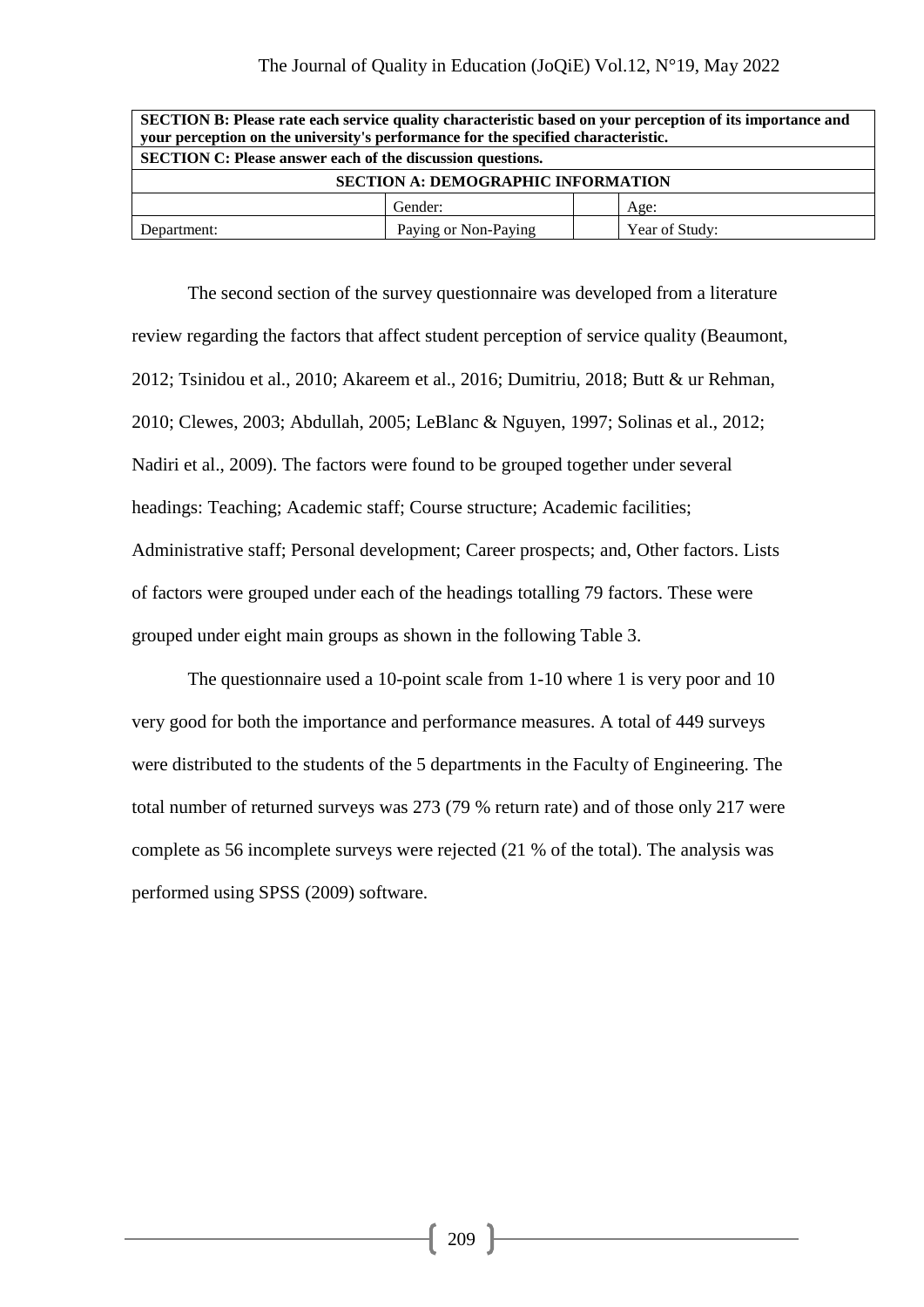| SECTION B: Please rate each service quality characteristic based on your perception of its importance and<br>your perception on the university's performance for the specified characteristic. |  |  |  |  |  |  |  |  |  |
|------------------------------------------------------------------------------------------------------------------------------------------------------------------------------------------------|--|--|--|--|--|--|--|--|--|
| <b>SECTION C: Please answer each of the discussion questions.</b>                                                                                                                              |  |  |  |  |  |  |  |  |  |
| <b>SECTION A: DEMOGRAPHIC INFORMATION</b>                                                                                                                                                      |  |  |  |  |  |  |  |  |  |
| Gender:<br>Age:                                                                                                                                                                                |  |  |  |  |  |  |  |  |  |
| Paying or Non-Paying<br>Year of Study:<br>Department:                                                                                                                                          |  |  |  |  |  |  |  |  |  |

The second section of the survey questionnaire was developed from a literature review regarding the factors that affect student perception of service quality (Beaumont, 2012; Tsinidou et al., 2010; Akareem et al., 2016; Dumitriu, 2018; Butt & ur Rehman, 2010; Clewes, 2003; Abdullah, 2005; LeBlanc & Nguyen, 1997; Solinas et al., 2012; Nadiri et al., 2009). The factors were found to be grouped together under several headings: Teaching; Academic staff; Course structure; Academic facilities; Administrative staff; Personal development; Career prospects; and, Other factors. Lists of factors were grouped under each of the headings totalling 79 factors. These were grouped under eight main groups as shown in the following Table 3.

The questionnaire used a 10-point scale from 1-10 where 1 is very poor and 10 very good for both the importance and performance measures. A total of 449 surveys were distributed to the students of the 5 departments in the Faculty of Engineering. The total number of returned surveys was 273 (79 % return rate) and of those only 217 were complete as 56 incomplete surveys were rejected (21 % of the total). The analysis was performed using SPSS (2009) software.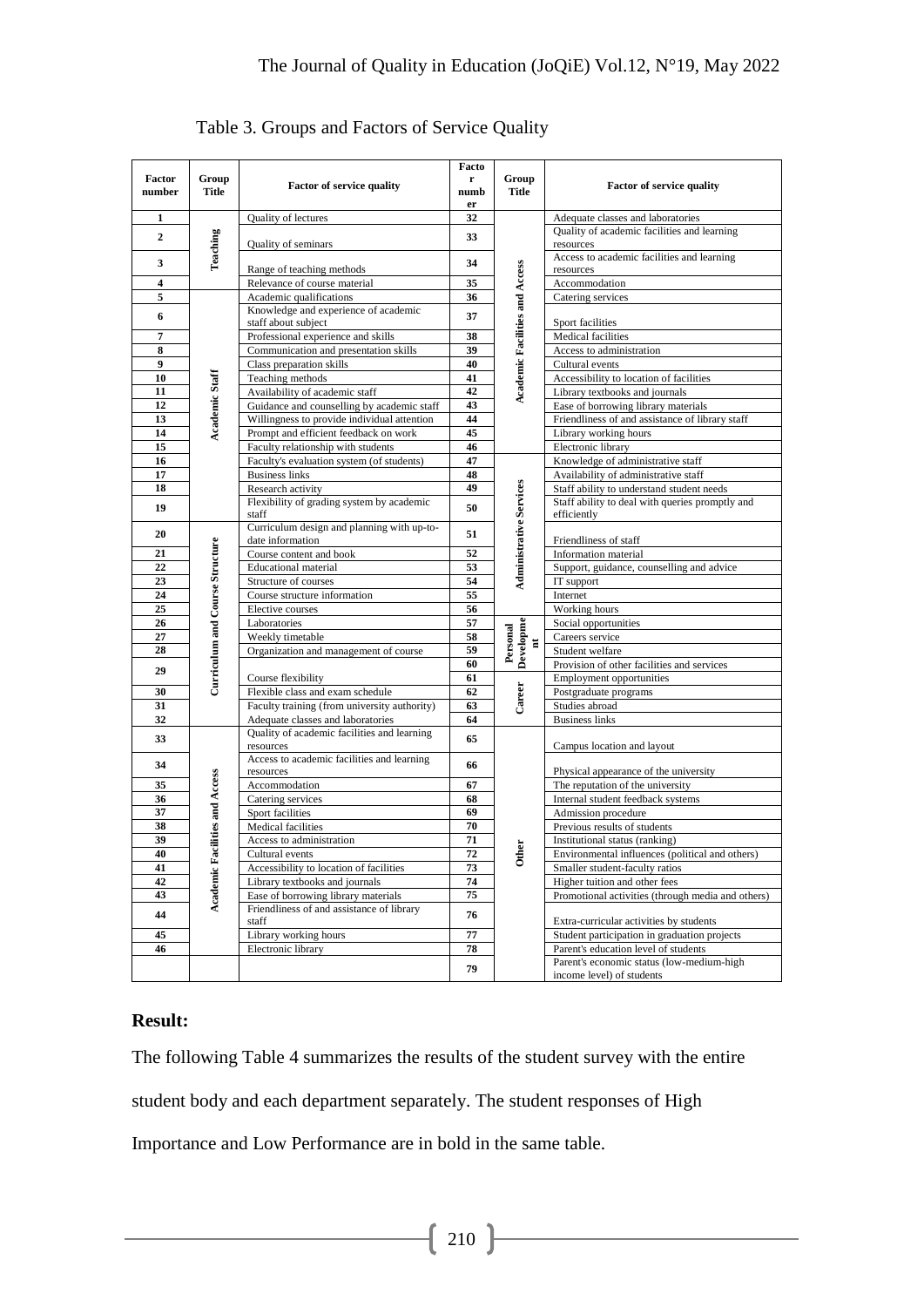|                         |                                 |                                                                                  | Facto                               |                                       | Factor of service quality                                              |  |  |  |
|-------------------------|---------------------------------|----------------------------------------------------------------------------------|-------------------------------------|---------------------------------------|------------------------------------------------------------------------|--|--|--|
| Factor<br>number        | Group<br><b>Title</b>           | Factor of service quality                                                        | $\mathbf r$<br>numb                 | Group<br><b>Title</b>                 |                                                                        |  |  |  |
|                         |                                 |                                                                                  | er                                  |                                       |                                                                        |  |  |  |
| 1                       |                                 | Quality of lectures                                                              | 32                                  |                                       | Adequate classes and laboratories                                      |  |  |  |
| $\boldsymbol{2}$        |                                 | Quality of seminars                                                              | 33                                  |                                       | Quality of academic facilities and learning<br>resources               |  |  |  |
| 3                       | Teaching                        | Range of teaching methods                                                        | 34                                  |                                       | Access to academic facilities and learning<br>resources                |  |  |  |
| $\overline{\mathbf{4}}$ |                                 | Relevance of course material                                                     | 35                                  |                                       | Accommodation                                                          |  |  |  |
| 5                       |                                 | Academic qualifications                                                          | 36                                  |                                       | Catering services                                                      |  |  |  |
| 6                       |                                 | Knowledge and experience of academic<br>staff about subject                      | 37                                  | <b>Academic Facilities and Access</b> | Sport facilities                                                       |  |  |  |
| 7                       |                                 | Professional experience and skills                                               | 38                                  |                                       | Medical facilities                                                     |  |  |  |
| 8                       |                                 | Communication and presentation skills                                            | 39                                  |                                       | Access to administration                                               |  |  |  |
| 9                       |                                 | Class preparation skills                                                         | 40                                  |                                       | Cultural events                                                        |  |  |  |
| 10                      |                                 | Teaching methods                                                                 | 41                                  |                                       | Accessibility to location of facilities                                |  |  |  |
| 11                      | Academic Staff                  | Availability of academic staff                                                   | 42                                  |                                       | Library textbooks and journals                                         |  |  |  |
| 12                      |                                 | Guidance and counselling by academic staff                                       | 43                                  |                                       | Ease of borrowing library materials                                    |  |  |  |
| 13                      |                                 | Willingness to provide individual attention                                      | 44                                  |                                       | Friendliness of and assistance of library staff                        |  |  |  |
| 14                      |                                 | Prompt and efficient feedback on work                                            | 45                                  |                                       | Library working hours                                                  |  |  |  |
| 15                      |                                 | Faculty relationship with students                                               | 46                                  |                                       | Electronic library                                                     |  |  |  |
| 16                      |                                 | Faculty's evaluation system (of students)                                        | 47                                  |                                       | Knowledge of administrative staff                                      |  |  |  |
| 17                      |                                 | <b>Business links</b>                                                            | 48                                  |                                       | Availability of administrative staff                                   |  |  |  |
| 18                      |                                 | Research activity                                                                | 49                                  |                                       | Staff ability to understand student needs                              |  |  |  |
| 19                      |                                 | Flexibility of grading system by academic<br>staff                               | 50                                  |                                       | Staff ability to deal with queries promptly and<br>efficiently         |  |  |  |
| 20                      |                                 | Curriculum design and planning with up-to-<br>date information                   | 51                                  |                                       | Friendliness of staff                                                  |  |  |  |
| 21                      | Curriculum and Course Structure | Course content and book                                                          | Administrative Services<br>52<br>53 |                                       | Information material                                                   |  |  |  |
| 22                      |                                 | <b>Educational</b> material                                                      |                                     |                                       | Support, guidance, counselling and advice                              |  |  |  |
| 23                      |                                 | Structure of courses                                                             | 54                                  |                                       | IT support                                                             |  |  |  |
| 24                      |                                 | Course structure information                                                     | 55                                  |                                       | Internet                                                               |  |  |  |
| 25                      |                                 | Elective courses                                                                 | 56                                  |                                       | Working hours                                                          |  |  |  |
| 26                      |                                 | Laboratories                                                                     | 57                                  |                                       | Social opportunities                                                   |  |  |  |
| 27                      |                                 | Weekly timetable                                                                 | 58                                  | $\overline{\phantom{a}}$              | Careers service                                                        |  |  |  |
| 28                      |                                 | Organization and management of course                                            | 59                                  | Developme<br>Personal                 | Student welfare                                                        |  |  |  |
| 29                      |                                 |                                                                                  | 60                                  |                                       | Provision of other facilities and services                             |  |  |  |
|                         |                                 | Course flexibility                                                               | 61                                  |                                       | <b>Employment opportunities</b>                                        |  |  |  |
| 30                      |                                 | Flexible class and exam schedule                                                 | 62                                  | Career                                | Postgraduate programs                                                  |  |  |  |
| 31                      |                                 | Faculty training (from university authority)                                     | 63                                  |                                       | Studies abroad                                                         |  |  |  |
| 32                      |                                 | Adequate classes and laboratories<br>Quality of academic facilities and learning | 64                                  |                                       | <b>Business links</b>                                                  |  |  |  |
| 33                      |                                 | resources                                                                        | 65                                  |                                       | Campus location and layout                                             |  |  |  |
| 34                      |                                 | Access to academic facilities and learning<br>resources                          | 66                                  |                                       | Physical appearance of the university                                  |  |  |  |
| 35                      | Academic Facilities and Access  | Accommodation                                                                    | 67                                  |                                       | The reputation of the university                                       |  |  |  |
| 36                      |                                 | Catering services                                                                | 68                                  |                                       | Internal student feedback systems                                      |  |  |  |
| 37                      |                                 | Sport facilities                                                                 | 69                                  |                                       | Admission procedure                                                    |  |  |  |
| 38                      |                                 | Medical facilities                                                               | 70                                  |                                       | Previous results of students                                           |  |  |  |
| 39                      |                                 | Access to administration                                                         | 71                                  | ther<br>El                            | Institutional status (ranking)                                         |  |  |  |
| 40                      |                                 | Cultural events                                                                  | 72                                  | ŏ                                     | Environmental influences (political and others)                        |  |  |  |
| 41                      |                                 | Accessibility to location of facilities                                          | 73                                  |                                       | Smaller student-faculty ratios                                         |  |  |  |
| 42                      |                                 | Library textbooks and journals                                                   | 74                                  |                                       | Higher tuition and other fees                                          |  |  |  |
| 43                      |                                 | Ease of borrowing library materials                                              | 75                                  |                                       | Promotional activities (through media and others)                      |  |  |  |
| 44                      |                                 | Friendliness of and assistance of library<br>staff                               | 76                                  |                                       | Extra-curricular activities by students                                |  |  |  |
| 45                      |                                 | Library working hours                                                            | 77                                  |                                       | Student participation in graduation projects                           |  |  |  |
| 46                      |                                 | Electronic library                                                               | 78                                  |                                       | Parent's education level of students                                   |  |  |  |
|                         |                                 |                                                                                  | 79                                  |                                       | Parent's economic status (low-medium-high<br>income level) of students |  |  |  |

Table 3. Groups and Factors of Service Quality

# **Result:**

The following Table 4 summarizes the results of the student survey with the entire student body and each department separately. The student responses of High Importance and Low Performance are in bold in the same table.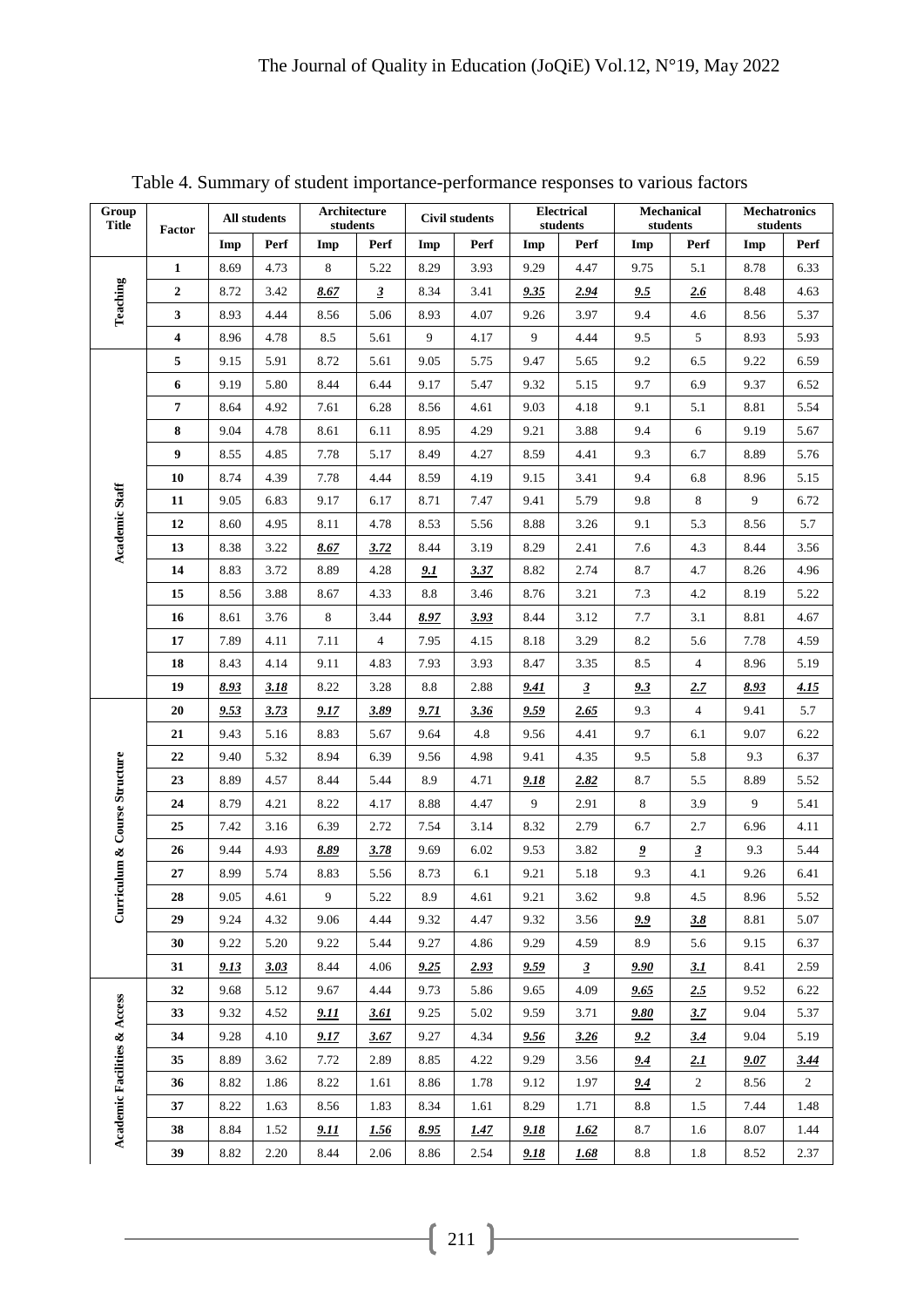| Group<br><b>Title</b>        | Factor           |             | Architecture<br>All students<br>students |                |                | <b>Civil students</b> |             | <b>Electrical</b><br>students |                         | Mechanical<br>students  |                         | <b>Mechatronics</b><br>students |                |
|------------------------------|------------------|-------------|------------------------------------------|----------------|----------------|-----------------------|-------------|-------------------------------|-------------------------|-------------------------|-------------------------|---------------------------------|----------------|
|                              |                  | Imp         | Perf                                     | Imp            | Perf           | Imp                   | Perf        | Imp                           | Perf                    | Imp                     | Perf                    | Imp                             | Perf           |
| Teaching                     | $\mathbf{1}$     | 8.69        | 4.73                                     | $\,8\,$        | 5.22           | 8.29                  | 3.93        | 9.29                          | 4.47                    | 9.75                    | 5.1                     | 8.78                            | 6.33           |
|                              | $\overline{2}$   | 8.72        | 3.42                                     | 8.67           | $\mathbf{3}$   | 8.34                  | 3.41        | 9.35                          | 2.94                    | 9.5                     | 2.6                     | 8.48                            | 4.63           |
|                              | 3                | 8.93        | 4.44                                     | 8.56           | 5.06           | 8.93                  | 4.07        | 9.26                          | 3.97                    | 9.4                     | 4.6                     | 8.56                            | 5.37           |
|                              | 4                | 8.96        | 4.78                                     | 8.5            | 5.61           | 9                     | 4.17        | 9                             | 4.44                    | 9.5                     | 5                       | 8.93                            | 5.93           |
|                              | 5                | 9.15        | 5.91                                     | 8.72           | 5.61           | 9.05                  | 5.75        | 9.47                          | 5.65                    | 9.2                     | 6.5                     | 9.22                            | 6.59           |
|                              | $\boldsymbol{6}$ | 9.19        | 5.80                                     | 8.44           | 6.44           | 9.17                  | 5.47        | 9.32                          | 5.15                    | 9.7                     | 6.9                     | 9.37                            | 6.52           |
|                              | $\overline{7}$   | 8.64        | 4.92                                     | 7.61           | 6.28           | 8.56                  | 4.61        | 9.03                          | 4.18                    | 9.1                     | 5.1                     | 8.81                            | 5.54           |
|                              | 8                | 9.04        | 4.78                                     | 8.61           | 6.11           | 8.95                  | 4.29        | 9.21                          | 3.88                    | 9.4                     | 6                       | 9.19                            | 5.67           |
|                              | $\boldsymbol{9}$ | 8.55        | 4.85                                     | 7.78           | 5.17           | 8.49                  | 4.27        | 8.59                          | 4.41                    | 9.3                     | 6.7                     | 8.89                            | 5.76           |
|                              | 10               | 8.74        | 4.39                                     | 7.78           | 4.44           | 8.59                  | 4.19        | 9.15                          | 3.41                    | 9.4                     | 6.8                     | 8.96                            | 5.15           |
|                              | 11               | 9.05        | 6.83                                     | 9.17           | 6.17           | 8.71                  | 7.47        | 9.41                          | 5.79                    | $9.8\,$                 | 8                       | 9                               | 6.72           |
|                              | 12               | 8.60        | 4.95                                     | 8.11           | 4.78           | 8.53                  | 5.56        | 8.88                          | 3.26                    | 9.1                     | 5.3                     | 8.56                            | 5.7            |
| <b>Academic Staff</b>        | 13               | 8.38        | 3.22                                     | 8.67           | 3.72           | 8.44                  | 3.19        | 8.29                          | 2.41                    | 7.6                     | 4.3                     | 8.44                            | 3.56           |
|                              | 14               | 8.83        | 3.72                                     | 8.89           | 4.28           | 9.1                   | 3.37        | 8.82                          | 2.74                    | 8.7                     | 4.7                     | 8.26                            | 4.96           |
|                              | 15               | 8.56        | 3.88                                     | 8.67           | 4.33           | 8.8                   | 3.46        | 8.76                          | 3.21                    | 7.3                     | 4.2                     | 8.19                            | 5.22           |
|                              | 16               | 8.61        | 3.76                                     | $\,8\,$        | 3.44           | 8.97                  | 3.93        | 8.44                          | 3.12                    | 7.7                     | 3.1                     | 8.81                            | 4.67           |
|                              | 17               | 7.89        | 4.11                                     | 7.11           | $\overline{4}$ | 7.95                  | 4.15        | 8.18                          | 3.29                    | 8.2                     | 5.6                     | 7.78                            | 4.59           |
|                              | 18               | 8.43        | 4.14                                     | 9.11           | 4.83           | 7.93                  | 3.93        | 8.47                          | 3.35                    | 8.5                     | $\overline{4}$          | 8.96                            | 5.19           |
|                              | 19               | 8.93        | 3.18                                     | 8.22           | 3.28           | 8.8                   | 2.88        | 9.41                          | $\overline{\mathbf{3}}$ | 9.3                     | 2.7                     | 8.93                            | 4.15           |
|                              | 20               | 9.53        | 3.73                                     | 9.17           | 3.89           | 9.71                  | 3.36        | 9.59                          | 2.65                    | 9.3                     | $\overline{4}$          | 9.41                            | 5.7            |
|                              | 21               | 9.43        | 5.16                                     | 8.83           | 5.67           | 9.64                  | 4.8         | 9.56                          | 4.41                    | 9.7                     | 6.1                     | 9.07                            | 6.22           |
|                              | 22               | 9.40        | 5.32                                     | 8.94           | 6.39           | 9.56                  | 4.98        | 9.41                          | 4.35                    | 9.5                     | 5.8                     | 9.3                             | 6.37           |
| iculum & Course Structure    | 23               | 8.89        | 4.57                                     | 8.44           | 5.44           | 8.9                   | 4.71        | 9.18                          | 2.82                    | 8.7                     | 5.5                     | 8.89                            | 5.52           |
|                              | 24               | 8.79        | 4.21                                     | 8.22           | 4.17           | 8.88                  | 4.47        | 9                             | 2.91                    | 8                       | 3.9                     | 9                               | 5.41           |
|                              | 25               | 7.42        | 3.16                                     | 6.39           | 2.72           | 7.54                  | 3.14        | 8.32                          | 2.79                    | 6.7                     | 2.7                     | 6.96                            | 4.11           |
|                              | 26               | 9.44        | 4.93                                     | 8.89           | 3.78           | 9.69                  | 6.02        | 9.53                          | 3.82                    | $\overline{\mathbf{z}}$ | $\overline{\mathbf{3}}$ | 9.3                             | 5.44           |
|                              | 27               | 8.99        | 5.74                                     | 8.83           | 5.56           | 8.73                  | 6.1         | 9.21                          | 5.18                    | 9.3                     | 4.1                     | 9.26                            | 6.41           |
|                              | 28               | 9.05        | 4.61                                     | $\overline{9}$ | 5.22           | $\ \, 8.9$            | 4.61        | 9.21                          | 3.62                    | $9.8\,$                 | $4.5\,$                 | 8.96                            | 5.52           |
| $C$ urr                      | 29               | 9.24        | 4.32                                     | 9.06           | 4.44           | 9.32                  | 4.47        | 9.32                          | 3.56                    | <u>9.9</u>              | <u>3.8</u>              | 8.81                            | 5.07           |
|                              | 30               | 9.22        | 5.20                                     | 9.22           | 5.44           | 9.27                  | 4.86        | 9.29                          | 4.59                    | 8.9                     | 5.6                     | 9.15                            | 6.37           |
|                              | 31               | <u>9.13</u> | <u>3.03</u>                              | 8.44           | 4.06           | 9.25                  | 2.93        | 9.59                          | $\overline{3}$          | <u>9.90</u>             | <u>3.1</u>              | 8.41                            | 2.59           |
|                              | 32               | 9.68        | 5.12                                     | 9.67           | 4.44           | 9.73                  | 5.86        | 9.65                          | 4.09                    | 9.65                    | 2.5                     | 9.52                            | 6.22           |
|                              | 33               | 9.32        | 4.52                                     | <u>9.11</u>    | 3.61           | 9.25                  | 5.02        | 9.59                          | 3.71                    | 9.80                    | 3.7                     | 9.04                            | 5.37           |
| Academic Facilities & Access | 34               | 9.28        | 4.10                                     | 9.17           | 3.67           | 9.27                  | 4.34        | 9.56                          | 3.26                    | 9.2                     | 3.4                     | 9.04                            | 5.19           |
|                              | 35               | 8.89        | 3.62                                     | 7.72           | 2.89           | 8.85                  | 4.22        | 9.29                          | 3.56                    | <u>9.4</u>              | <u>2.1</u>              | <u>9.07</u>                     | <u>3.44</u>    |
|                              | 36               | 8.82        | 1.86                                     | 8.22           | 1.61           | 8.86                  | 1.78        | 9.12                          | 1.97                    | 9.4                     | $\overline{2}$          | 8.56                            | $\overline{2}$ |
|                              | 37               | 8.22        | 1.63                                     | 8.56           | 1.83           | 8.34                  | 1.61        | 8.29                          | 1.71                    | 8.8                     | 1.5                     | 7.44                            | 1.48           |
|                              | 38               | 8.84        | 1.52                                     | 9.11           | 1.56           | 8.95                  | <u>1.47</u> | 9.18                          | 1.62                    | 8.7                     | 1.6                     | 8.07                            | 1.44           |
|                              | 39               | 8.82        | 2.20                                     | 8.44           | 2.06           | 8.86                  | 2.54        | 9.18                          | <u>1.68</u>             | 8.8                     | 1.8                     | 8.52                            | 2.37           |

Table 4. Summary of student importance-performance responses to various factors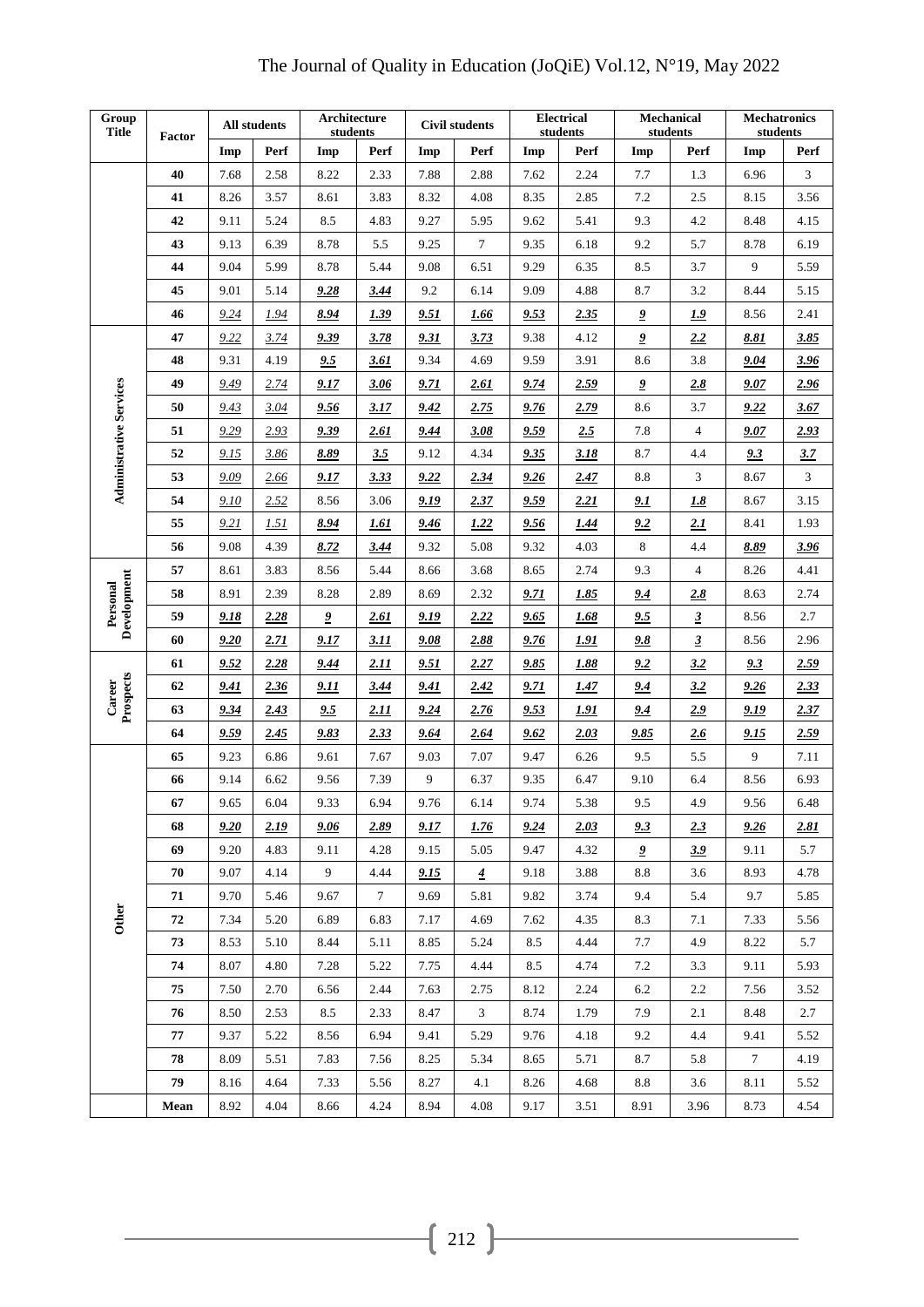| Group<br><b>Title</b>          | Factor | All students |      | Architecture<br>students |                 | <b>Civil students</b> |                | <b>Electrical</b><br>students |      | <b>Mechanical</b><br>students |                | <b>Mechatronics</b><br>students |      |
|--------------------------------|--------|--------------|------|--------------------------|-----------------|-----------------------|----------------|-------------------------------|------|-------------------------------|----------------|---------------------------------|------|
|                                |        | Imp          | Perf | Imp                      | Perf            | Imp                   | Perf           | Imp                           | Perf | Imp                           | Perf           | Imp                             | Perf |
|                                | 40     | 7.68         | 2.58 | 8.22                     | 2.33            | 7.88                  | 2.88           | 7.62                          | 2.24 | 7.7                           | 1.3            | 6.96                            | 3    |
|                                | 41     | 8.26         | 3.57 | 8.61                     | 3.83            | 8.32                  | 4.08           | 8.35                          | 2.85 | 7.2                           | 2.5            | 8.15                            | 3.56 |
|                                | 42     | 9.11         | 5.24 | 8.5                      | 4.83            | 9.27                  | 5.95           | 9.62                          | 5.41 | 9.3                           | 4.2            | 8.48                            | 4.15 |
|                                | 43     | 9.13         | 6.39 | 8.78                     | 5.5             | 9.25                  | $\tau$         | 9.35                          | 6.18 | 9.2                           | 5.7            | 8.78                            | 6.19 |
|                                | 44     | 9.04         | 5.99 | 8.78                     | 5.44            | 9.08                  | 6.51           | 9.29                          | 6.35 | 8.5                           | 3.7            | 9                               | 5.59 |
|                                | 45     | 9.01         | 5.14 | 9.28                     | 3.44            | 9.2                   | 6.14           | 9.09                          | 4.88 | 8.7                           | 3.2            | 8.44                            | 5.15 |
|                                | 46     | 9.24         | 1.94 | 8.94                     | 1.39            | 9.51                  | 1.66           | 9.53                          | 2.35 | $\overline{\mathbf{2}}$       | 1.9            | 8.56                            | 2.41 |
|                                | 47     | 9.22         | 3.74 | 9.39                     | 3.78            | 9.31                  | 3.73           | 9.38                          | 4.12 | $\overline{\mathbf{2}}$       | 2.2            | 8.81                            | 3.85 |
|                                | 48     | 9.31         | 4.19 | 9.5                      | 3.61            | 9.34                  | 4.69           | 9.59                          | 3.91 | 8.6                           | 3.8            | 9.04                            | 3.96 |
|                                | 49     | 9.49         | 2.74 | 9.17                     | 3.06            | 9.71                  | 2.61           | 9.74                          | 2.59 | $\overline{\mathbf{2}}$       | 2.8            | 9.07                            | 2.96 |
|                                | 50     | 9.43         | 3.04 | 9.56                     | 3.17            | 9.42                  | 2.75           | 9.76                          | 2.79 | 8.6                           | 3.7            | 9.22                            | 3.67 |
| <b>Administrative Services</b> | 51     | 9.29         | 2.93 | 9.39                     | 2.61            | 9.44                  | 3.08           | 9.59                          | 2.5  | 7.8                           | $\overline{4}$ | 9.07                            | 2.93 |
|                                | 52     | 9.15         | 3.86 | 8.89                     | 3.5             | 9.12                  | 4.34           | 9.35                          | 3.18 | 8.7                           | 4.4            | 9.3                             | 3.7  |
|                                | 53     | 9.09         | 2.66 | 9.17                     | 3.33            | 9.22                  | 2.34           | 9.26                          | 2.47 | 8.8                           | 3              | 8.67                            | 3    |
|                                | 54     | 9.10         | 2.52 | 8.56                     | 3.06            | 9.19                  | 2.37           | 9.59                          | 2.21 | 9.1                           | <u>1.8</u>     | 8.67                            | 3.15 |
|                                | 55     | 9.21         | 1.51 | 8.94                     | 1.61            | 9.46                  | 1.22           | 9.56                          | 1.44 | 9.2                           | 2.1            | 8.41                            | 1.93 |
|                                | 56     | 9.08         | 4.39 | 8.72                     | 3.44            | 9.32                  | 5.08           | 9.32                          | 4.03 | 8                             | 4.4            | 8.89                            | 3.96 |
|                                | 57     | 8.61         | 3.83 | 8.56                     | 5.44            | 8.66                  | 3.68           | 8.65                          | 2.74 | 9.3                           | $\overline{4}$ | 8.26                            | 4.41 |
|                                | 58     | 8.91         | 2.39 | 8.28                     | 2.89            | 8.69                  | 2.32           | 9.71                          | 1.85 | 9.4                           | 2.8            | 8.63                            | 2.74 |
| Development<br>Personal        | 59     | 9.18         | 2.28 | $\overline{\mathbf{2}}$  | 2.61            | 9.19                  | 2.22           | 9.65                          | 1.68 | 9.5                           | $\overline{3}$ | 8.56                            | 2.7  |
|                                | 60     | 9.20         | 2.71 | 9.17                     | 3.11            | 9.08                  | 2.88           | 9.76                          | 1.91 | 9.8                           | $\mathbf{3}$   | 8.56                            | 2.96 |
|                                | 61     | 9.52         | 2.28 | 9.44                     | 2.11            | 9.51                  | 2.27           | 9.85                          | 1.88 | 9.2                           | 3.2            | 9.3                             | 2.59 |
| Career                         | 62     | 9.41         | 2.36 | 9.11                     | 3.44            | 9.41                  | 2.42           | 9.71                          | 1.47 | 9.4                           | 3.2            | 9.26                            | 2.33 |
| Prospects                      | 63     | 9.34         | 2.43 | 9.5                      | 2.11            | 9.24                  | 2.76           | 9.53                          | 1.91 | 9.4                           | 2.9            | 9.19                            | 2.37 |
|                                | 64     | 9.59         | 2.45 | 9.83                     | 2.33            | 9.64                  | 2.64           | 9.62                          | 2.03 | 9.85                          | 2.6            | 9.15                            | 2.59 |
|                                | 65     | 9.23         | 6.86 | 9.61                     | 7.67            | 9.03                  | 7.07           | 9.47                          | 6.26 | 9.5                           | 5.5            | 9                               | 7.11 |
|                                | 66     | 9.14         | 6.62 | 9.56                     | 7.39            | 9                     | 6.37           | 9.35                          | 6.47 | 9.10                          | 6.4            | 8.56                            | 6.93 |
|                                | 67     | 9.65         | 6.04 | 9.33                     | 6.94            | 9.76                  | 6.14           | 9.74                          | 5.38 | 9.5                           | 4.9            | 9.56                            | 6.48 |
|                                | 68     | 9.20         | 2.19 | 9.06                     | 2.89            | 9.17                  | 1.76           | 9.24                          | 2.03 | 9.3                           | 2.3            | 9.26                            | 2.81 |
|                                | 69     | 9.20         | 4.83 | 9.11                     | 4.28            | 9.15                  | 5.05           | 9.47                          | 4.32 | $\overline{\mathbf{z}}$       | 3.9            | 9.11                            | 5.7  |
|                                | 70     | 9.07         | 4.14 | 9                        | 4.44            | 9.15                  | $\overline{4}$ | 9.18                          | 3.88 | 8.8                           | 3.6            | 8.93                            | 4.78 |
|                                | 71     | 9.70         | 5.46 | 9.67                     | $7\phantom{.0}$ | 9.69                  | 5.81           | 9.82                          | 3.74 | 9.4                           | 5.4            | 9.7                             | 5.85 |
| Other                          | 72     | 7.34         | 5.20 | 6.89                     | 6.83            | 7.17                  | 4.69           | 7.62                          | 4.35 | 8.3                           | 7.1            | 7.33                            | 5.56 |
|                                | 73     | 8.53         | 5.10 | 8.44                     | 5.11            | 8.85                  | 5.24           | 8.5                           | 4.44 | 7.7                           | 4.9            | 8.22                            | 5.7  |
|                                | 74     | 8.07         | 4.80 | 7.28                     | 5.22            | 7.75                  | 4.44           | 8.5                           | 4.74 | 7.2                           | 3.3            | 9.11                            | 5.93 |
|                                | 75     | 7.50         | 2.70 | 6.56                     | 2.44            | 7.63                  | 2.75           | 8.12                          | 2.24 | 6.2                           | 2.2            | 7.56                            | 3.52 |
|                                | 76     | 8.50         | 2.53 | 8.5                      | 2.33            | 8.47                  | $\mathfrak{Z}$ | 8.74                          | 1.79 | 7.9                           | 2.1            | 8.48                            | 2.7  |
|                                | 77     | 9.37         | 5.22 | 8.56                     | 6.94            | 9.41                  | 5.29           | 9.76                          | 4.18 | 9.2                           | 4.4            | 9.41                            | 5.52 |
|                                | 78     | 8.09         | 5.51 | 7.83                     | 7.56            | 8.25                  | 5.34           | 8.65                          | 5.71 | 8.7                           | 5.8            | $\tau$                          | 4.19 |
|                                | 79     | 8.16         | 4.64 | 7.33                     | 5.56            | 8.27                  | 4.1            | 8.26                          | 4.68 | $\!\!\!\!\!8.8$               | 3.6            | 8.11                            | 5.52 |
|                                | Mean   | 8.92         | 4.04 | 8.66                     | 4.24            | 8.94                  | 4.08           | 9.17                          | 3.51 | 8.91                          | 3.96           | 8.73                            | 4.54 |

# The Journal of Quality in Education (JoQiE) Vol.12, N°19, May 2022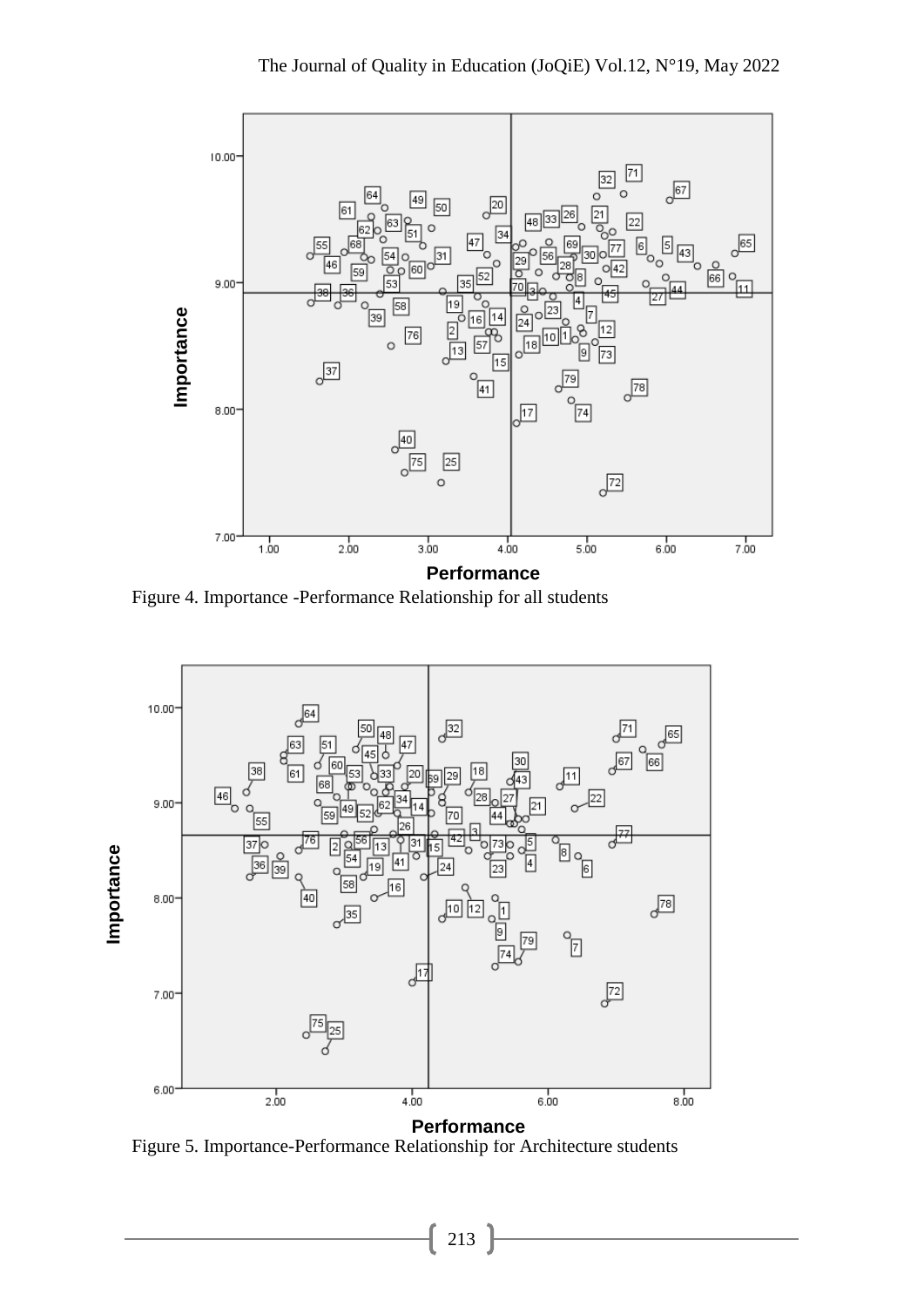

Figure 4. Importance -Performance Relationship for all students

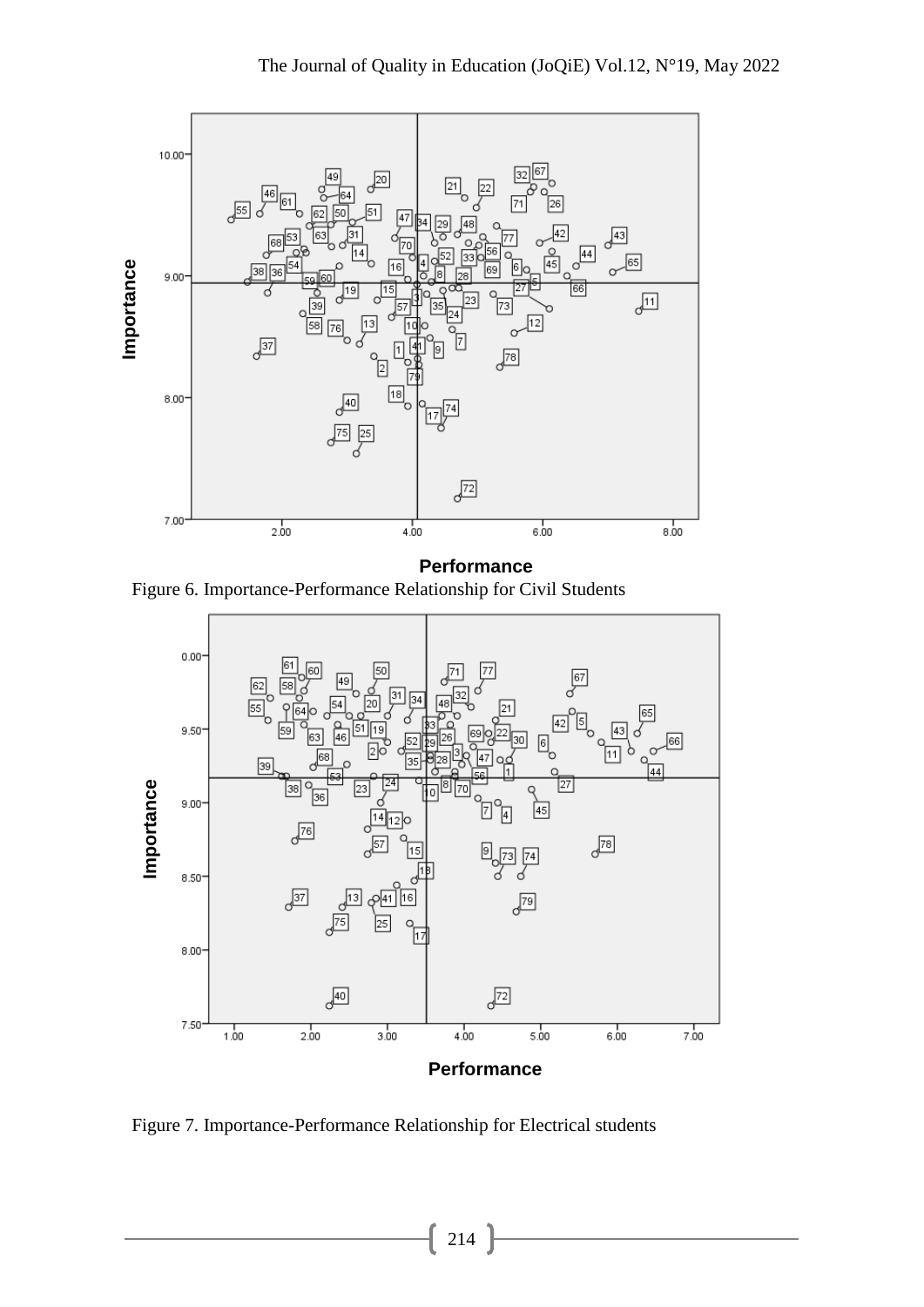

Figure 6. Importance-Performance Relationship for Civil Students



Figure 7. Importance-Performance Relationship for Electrical students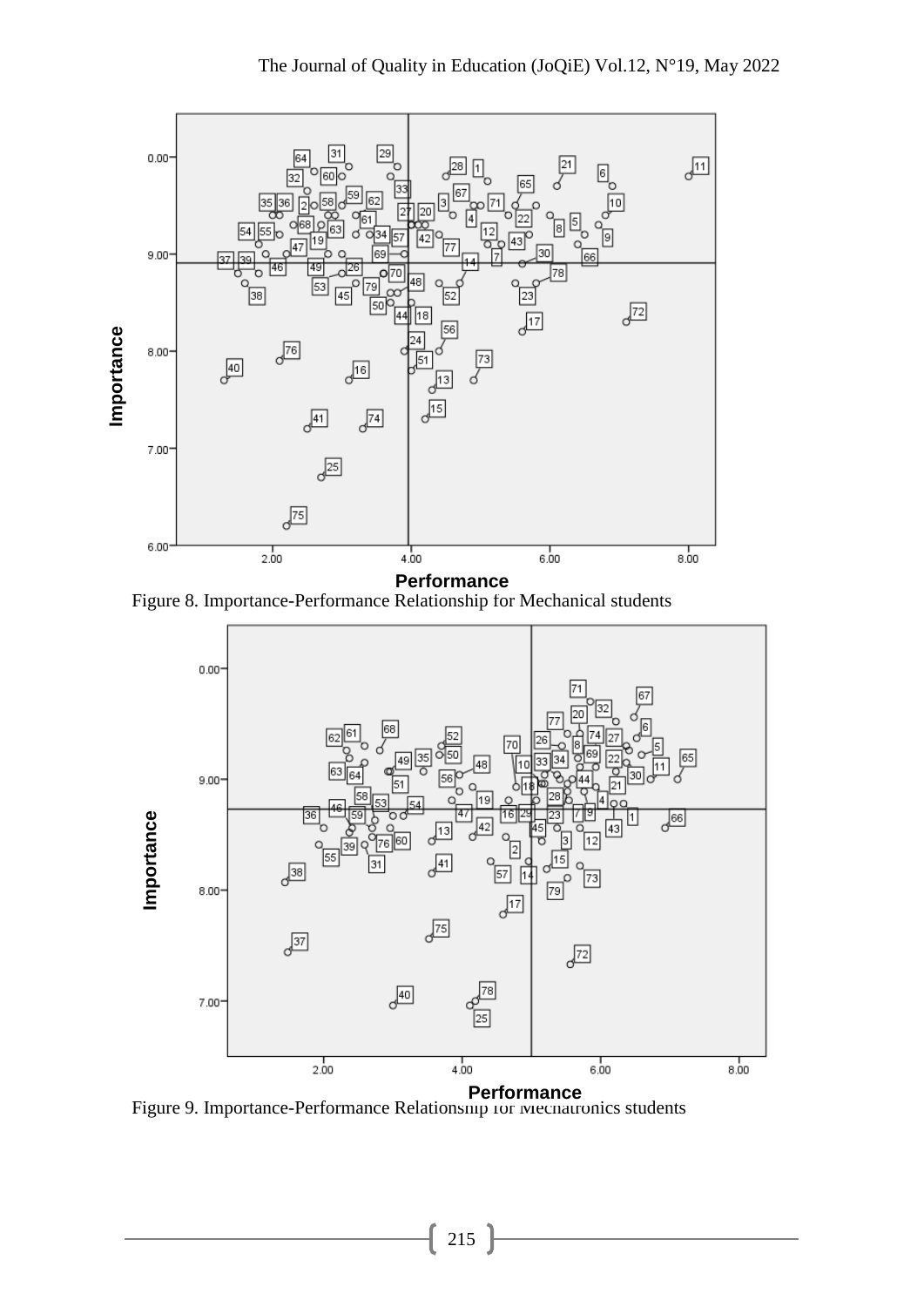

Figure 8. Importance-Performance Relationship for Mechanical students



Figure 9. Importance-Performance Relationship for Mechatronics students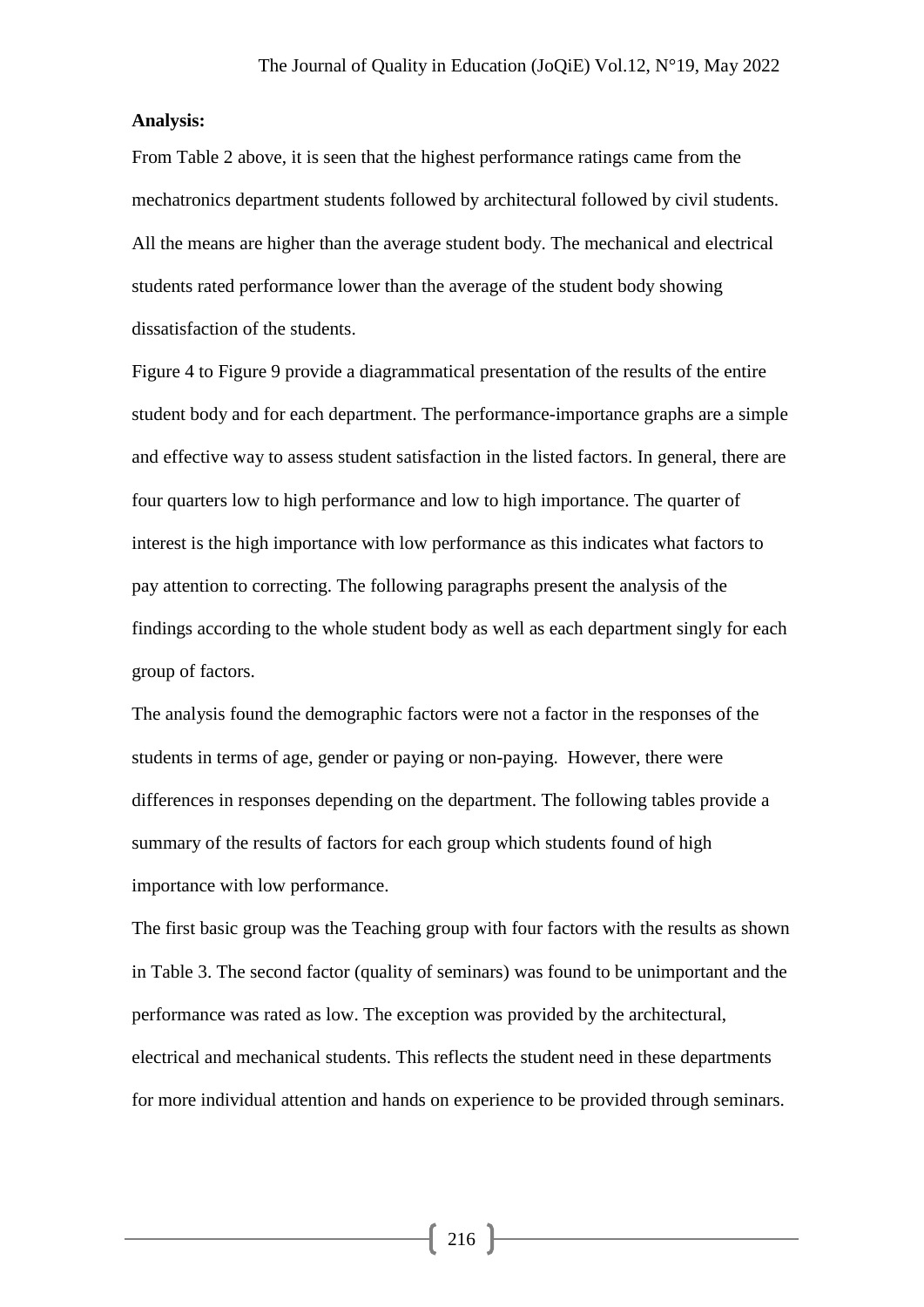## **Analysis:**

From Table 2 above, it is seen that the highest performance ratings came from the mechatronics department students followed by architectural followed by civil students. All the means are higher than the average student body. The mechanical and electrical students rated performance lower than the average of the student body showing dissatisfaction of the students.

Figure 4 to Figure 9 provide a diagrammatical presentation of the results of the entire student body and for each department. The performance-importance graphs are a simple and effective way to assess student satisfaction in the listed factors. In general, there are four quarters low to high performance and low to high importance. The quarter of interest is the high importance with low performance as this indicates what factors to pay attention to correcting. The following paragraphs present the analysis of the findings according to the whole student body as well as each department singly for each group of factors.

The analysis found the demographic factors were not a factor in the responses of the students in terms of age, gender or paying or non-paying. However, there were differences in responses depending on the department. The following tables provide a summary of the results of factors for each group which students found of high importance with low performance.

The first basic group was the Teaching group with four factors with the results as shown in Table 3. The second factor (quality of seminars) was found to be unimportant and the performance was rated as low. The exception was provided by the architectural, electrical and mechanical students. This reflects the student need in these departments for more individual attention and hands on experience to be provided through seminars.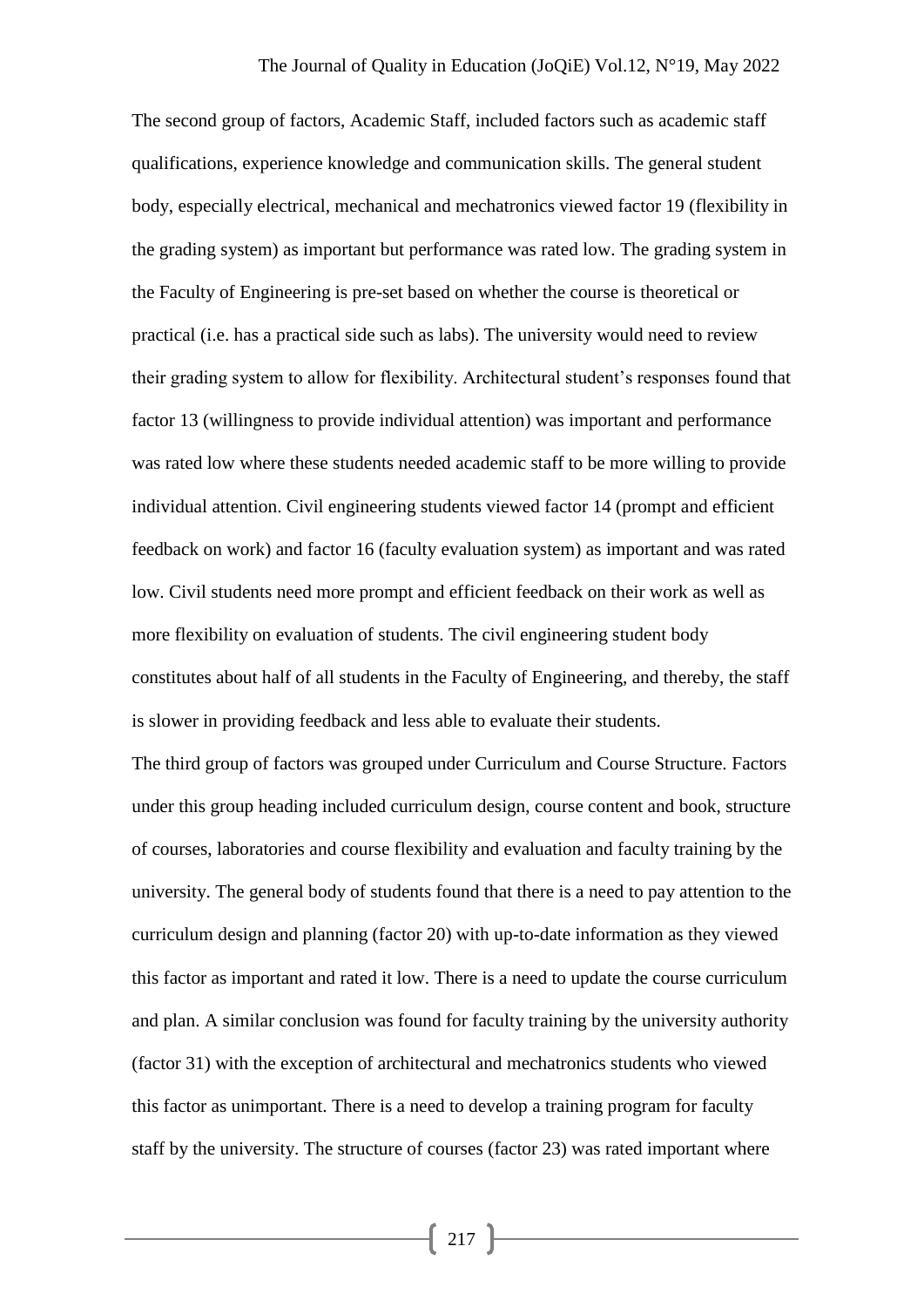The second group of factors, Academic Staff, included factors such as academic staff qualifications, experience knowledge and communication skills. The general student body, especially electrical, mechanical and mechatronics viewed factor 19 (flexibility in the grading system) as important but performance was rated low. The grading system in the Faculty of Engineering is pre-set based on whether the course is theoretical or practical (i.e. has a practical side such as labs). The university would need to review their grading system to allow for flexibility. Architectural student's responses found that factor 13 (willingness to provide individual attention) was important and performance was rated low where these students needed academic staff to be more willing to provide individual attention. Civil engineering students viewed factor 14 (prompt and efficient feedback on work) and factor 16 (faculty evaluation system) as important and was rated low. Civil students need more prompt and efficient feedback on their work as well as more flexibility on evaluation of students. The civil engineering student body constitutes about half of all students in the Faculty of Engineering, and thereby, the staff is slower in providing feedback and less able to evaluate their students.

The third group of factors was grouped under Curriculum and Course Structure. Factors under this group heading included curriculum design, course content and book, structure of courses, laboratories and course flexibility and evaluation and faculty training by the university. The general body of students found that there is a need to pay attention to the curriculum design and planning (factor 20) with up-to-date information as they viewed this factor as important and rated it low. There is a need to update the course curriculum and plan. A similar conclusion was found for faculty training by the university authority (factor 31) with the exception of architectural and mechatronics students who viewed this factor as unimportant. There is a need to develop a training program for faculty staff by the university. The structure of courses (factor 23) was rated important where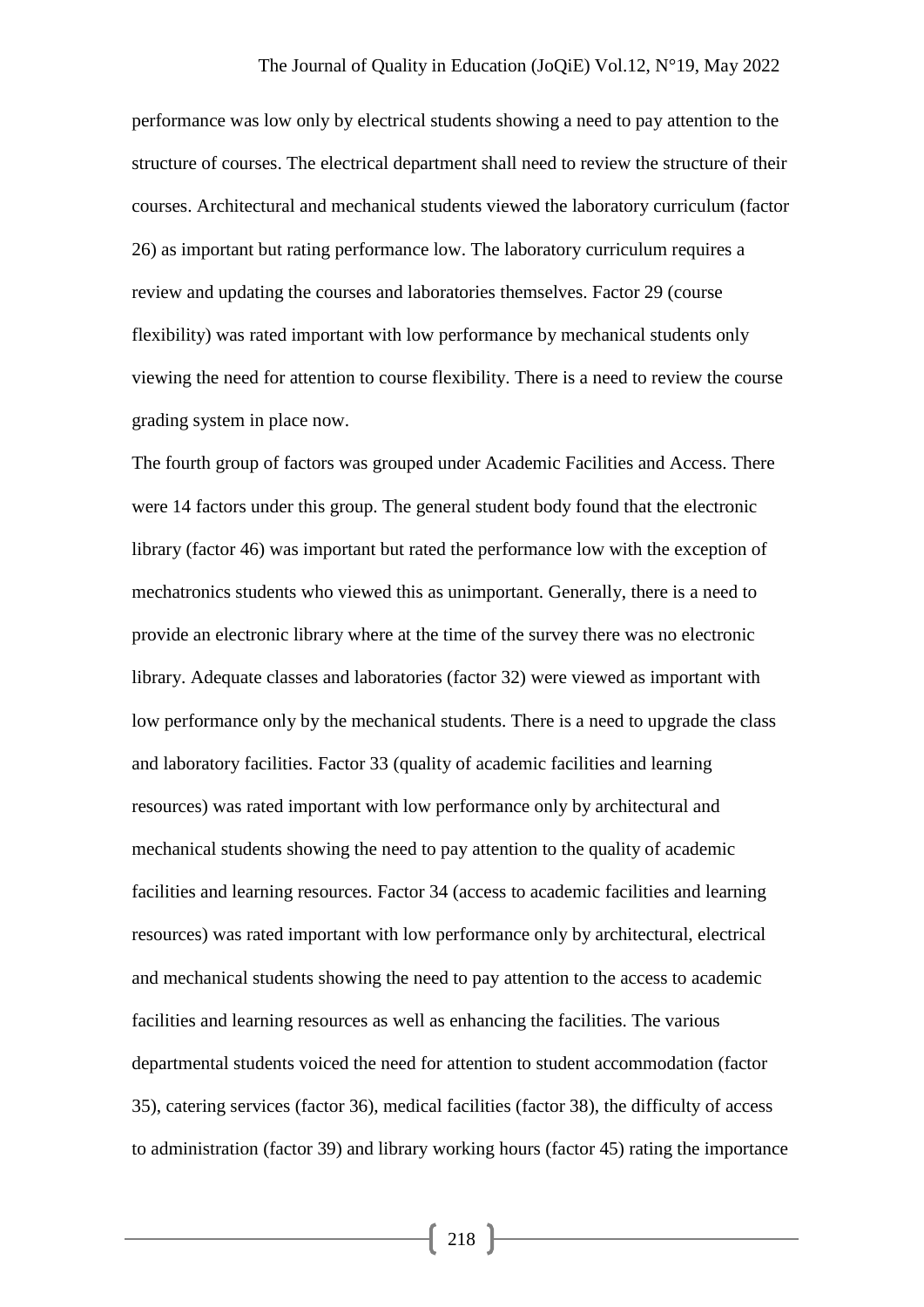performance was low only by electrical students showing a need to pay attention to the structure of courses. The electrical department shall need to review the structure of their courses. Architectural and mechanical students viewed the laboratory curriculum (factor 26) as important but rating performance low. The laboratory curriculum requires a review and updating the courses and laboratories themselves. Factor 29 (course flexibility) was rated important with low performance by mechanical students only viewing the need for attention to course flexibility. There is a need to review the course grading system in place now.

The fourth group of factors was grouped under Academic Facilities and Access. There were 14 factors under this group. The general student body found that the electronic library (factor 46) was important but rated the performance low with the exception of mechatronics students who viewed this as unimportant. Generally, there is a need to provide an electronic library where at the time of the survey there was no electronic library. Adequate classes and laboratories (factor 32) were viewed as important with low performance only by the mechanical students. There is a need to upgrade the class and laboratory facilities. Factor 33 (quality of academic facilities and learning resources) was rated important with low performance only by architectural and mechanical students showing the need to pay attention to the quality of academic facilities and learning resources. Factor 34 (access to academic facilities and learning resources) was rated important with low performance only by architectural, electrical and mechanical students showing the need to pay attention to the access to academic facilities and learning resources as well as enhancing the facilities. The various departmental students voiced the need for attention to student accommodation (factor 35), catering services (factor 36), medical facilities (factor 38), the difficulty of access to administration (factor 39) and library working hours (factor 45) rating the importance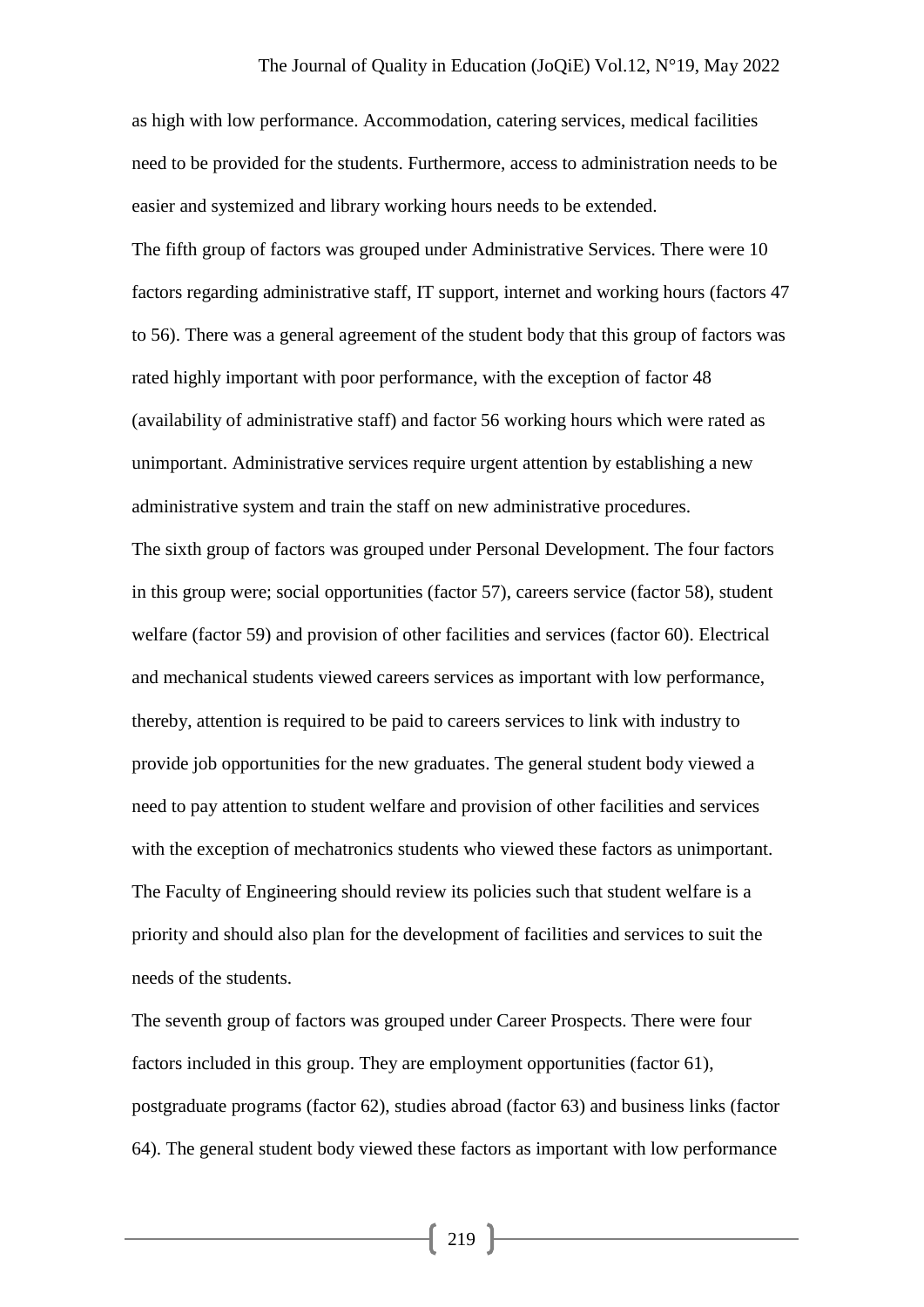as high with low performance. Accommodation, catering services, medical facilities need to be provided for the students. Furthermore, access to administration needs to be easier and systemized and library working hours needs to be extended.

The fifth group of factors was grouped under Administrative Services. There were 10 factors regarding administrative staff, IT support, internet and working hours (factors 47 to 56). There was a general agreement of the student body that this group of factors was rated highly important with poor performance, with the exception of factor 48 (availability of administrative staff) and factor 56 working hours which were rated as unimportant. Administrative services require urgent attention by establishing a new administrative system and train the staff on new administrative procedures.

The sixth group of factors was grouped under Personal Development. The four factors in this group were; social opportunities (factor 57), careers service (factor 58), student welfare (factor 59) and provision of other facilities and services (factor 60). Electrical and mechanical students viewed careers services as important with low performance, thereby, attention is required to be paid to careers services to link with industry to provide job opportunities for the new graduates. The general student body viewed a need to pay attention to student welfare and provision of other facilities and services with the exception of mechatronics students who viewed these factors as unimportant. The Faculty of Engineering should review its policies such that student welfare is a priority and should also plan for the development of facilities and services to suit the needs of the students.

The seventh group of factors was grouped under Career Prospects. There were four factors included in this group. They are employment opportunities (factor 61), postgraduate programs (factor 62), studies abroad (factor 63) and business links (factor 64). The general student body viewed these factors as important with low performance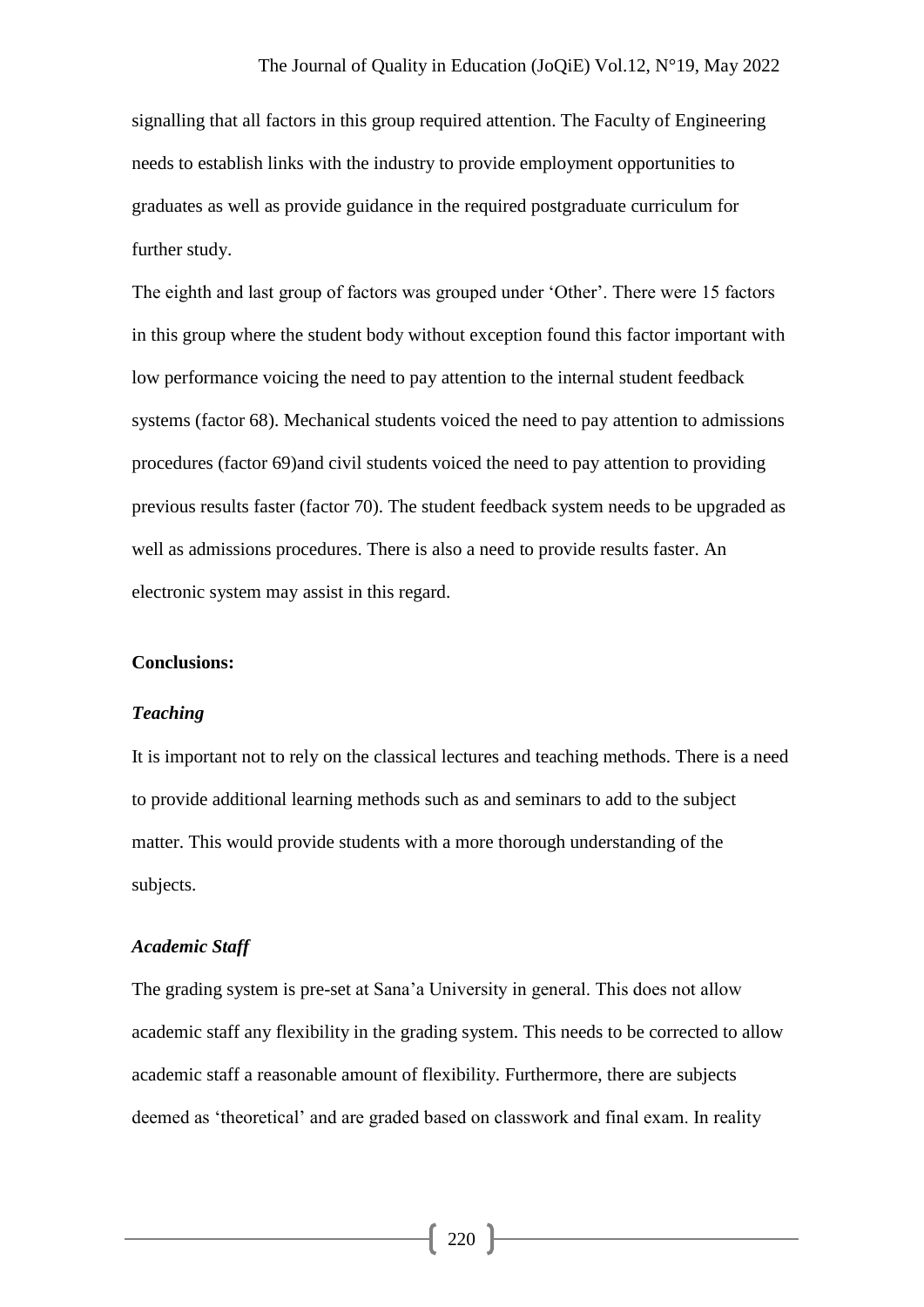signalling that all factors in this group required attention. The Faculty of Engineering needs to establish links with the industry to provide employment opportunities to graduates as well as provide guidance in the required postgraduate curriculum for further study.

The eighth and last group of factors was grouped under 'Other'. There were 15 factors in this group where the student body without exception found this factor important with low performance voicing the need to pay attention to the internal student feedback systems (factor 68). Mechanical students voiced the need to pay attention to admissions procedures (factor 69)and civil students voiced the need to pay attention to providing previous results faster (factor 70). The student feedback system needs to be upgraded as well as admissions procedures. There is also a need to provide results faster. An electronic system may assist in this regard.

#### **Conclusions:**

#### *Teaching*

It is important not to rely on the classical lectures and teaching methods. There is a need to provide additional learning methods such as and seminars to add to the subject matter. This would provide students with a more thorough understanding of the subjects.

#### *Academic Staff*

The grading system is pre-set at Sana'a University in general. This does not allow academic staff any flexibility in the grading system. This needs to be corrected to allow academic staff a reasonable amount of flexibility. Furthermore, there are subjects deemed as 'theoretical' and are graded based on classwork and final exam. In reality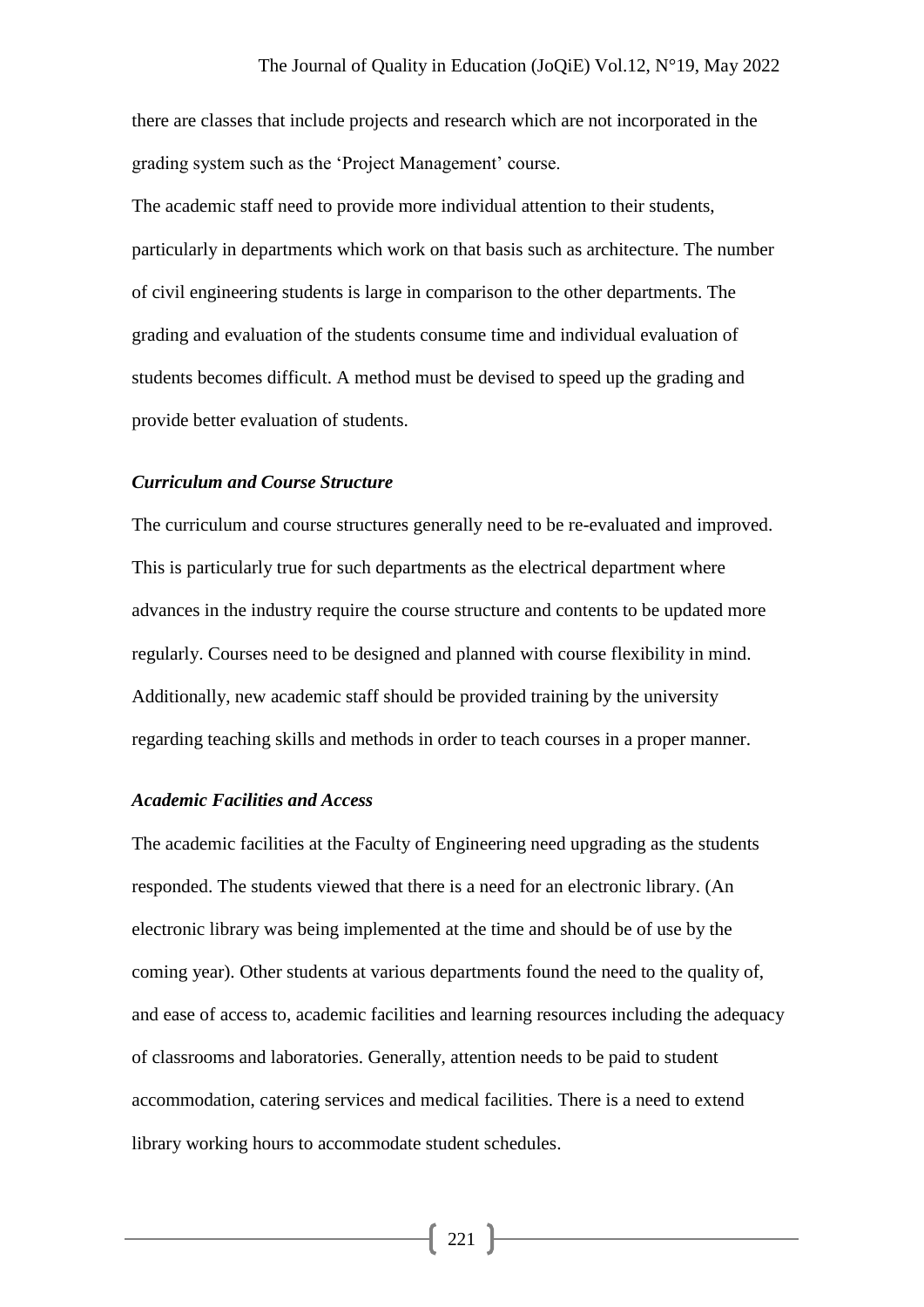there are classes that include projects and research which are not incorporated in the grading system such as the 'Project Management' course.

The academic staff need to provide more individual attention to their students, particularly in departments which work on that basis such as architecture. The number of civil engineering students is large in comparison to the other departments. The grading and evaluation of the students consume time and individual evaluation of students becomes difficult. A method must be devised to speed up the grading and provide better evaluation of students.

#### *Curriculum and Course Structure*

The curriculum and course structures generally need to be re-evaluated and improved. This is particularly true for such departments as the electrical department where advances in the industry require the course structure and contents to be updated more regularly. Courses need to be designed and planned with course flexibility in mind. Additionally, new academic staff should be provided training by the university regarding teaching skills and methods in order to teach courses in a proper manner.

#### *Academic Facilities and Access*

The academic facilities at the Faculty of Engineering need upgrading as the students responded. The students viewed that there is a need for an electronic library. (An electronic library was being implemented at the time and should be of use by the coming year). Other students at various departments found the need to the quality of, and ease of access to, academic facilities and learning resources including the adequacy of classrooms and laboratories. Generally, attention needs to be paid to student accommodation, catering services and medical facilities. There is a need to extend library working hours to accommodate student schedules.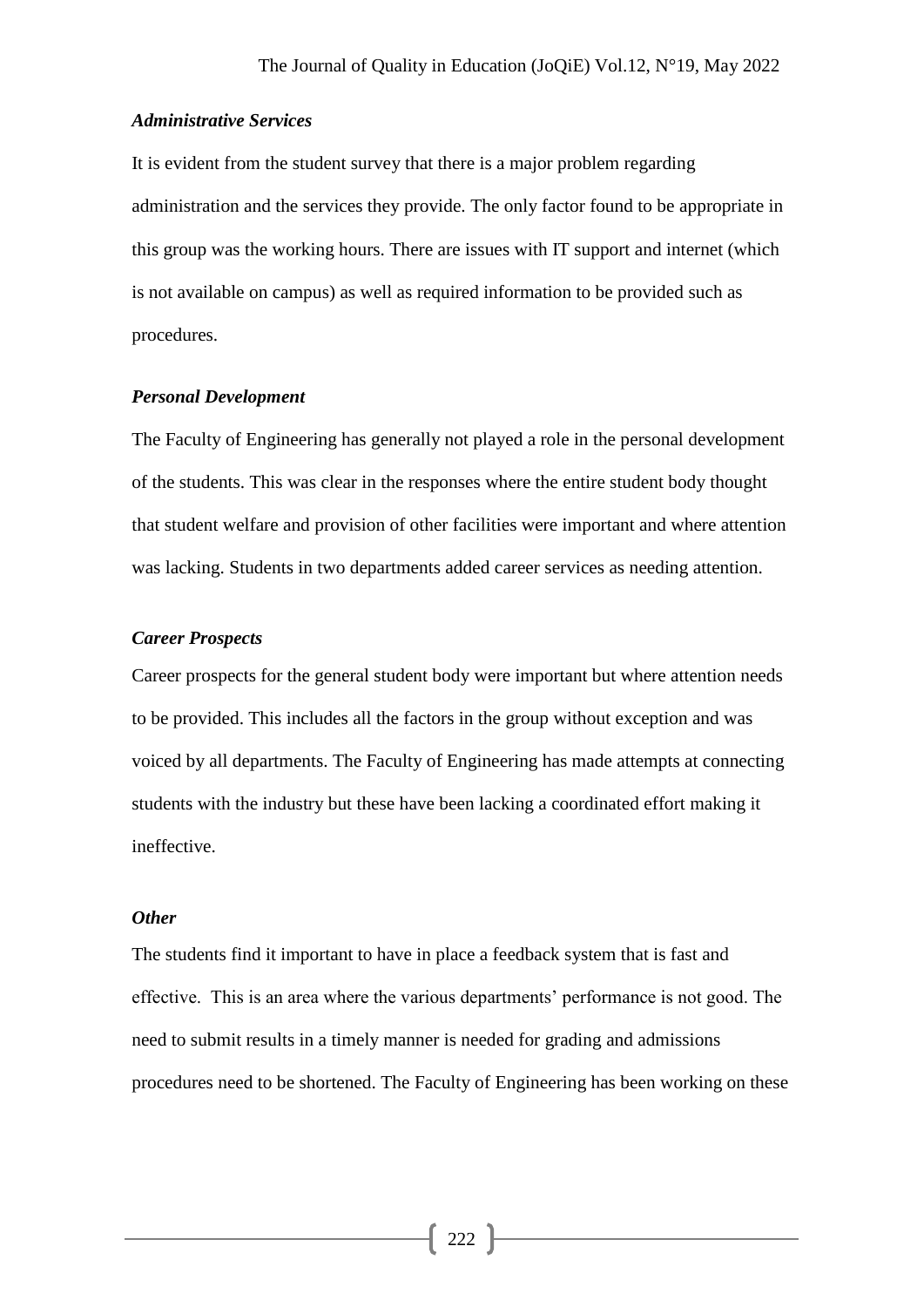#### *Administrative Services*

It is evident from the student survey that there is a major problem regarding administration and the services they provide. The only factor found to be appropriate in this group was the working hours. There are issues with IT support and internet (which is not available on campus) as well as required information to be provided such as procedures.

#### *Personal Development*

The Faculty of Engineering has generally not played a role in the personal development of the students. This was clear in the responses where the entire student body thought that student welfare and provision of other facilities were important and where attention was lacking. Students in two departments added career services as needing attention.

### *Career Prospects*

Career prospects for the general student body were important but where attention needs to be provided. This includes all the factors in the group without exception and was voiced by all departments. The Faculty of Engineering has made attempts at connecting students with the industry but these have been lacking a coordinated effort making it ineffective.

### *Other*

The students find it important to have in place a feedback system that is fast and effective. This is an area where the various departments' performance is not good. The need to submit results in a timely manner is needed for grading and admissions procedures need to be shortened. The Faculty of Engineering has been working on these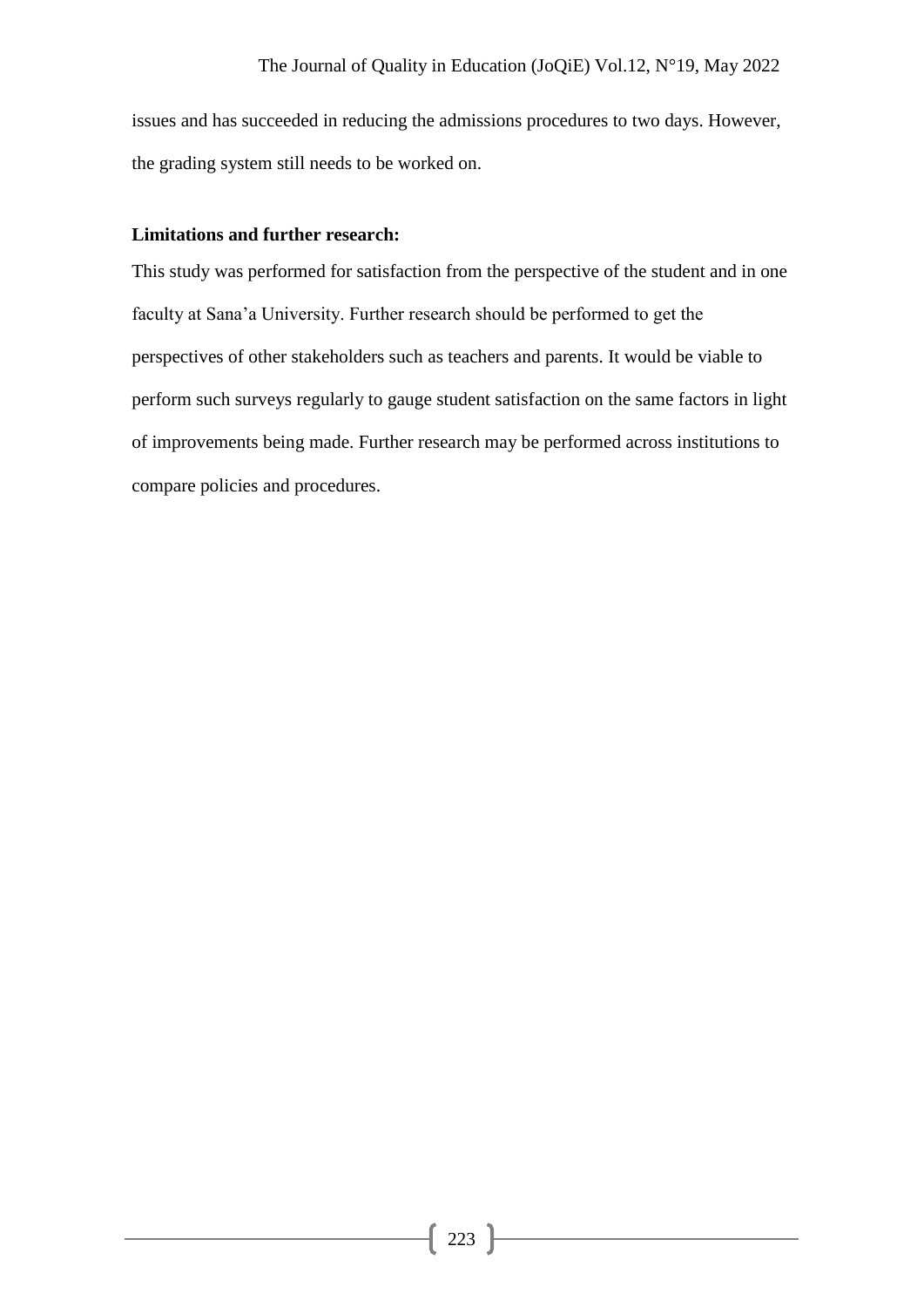issues and has succeeded in reducing the admissions procedures to two days. However, the grading system still needs to be worked on.

# **Limitations and further research:**

This study was performed for satisfaction from the perspective of the student and in one faculty at Sana'a University. Further research should be performed to get the perspectives of other stakeholders such as teachers and parents. It would be viable to perform such surveys regularly to gauge student satisfaction on the same factors in light of improvements being made. Further research may be performed across institutions to compare policies and procedures.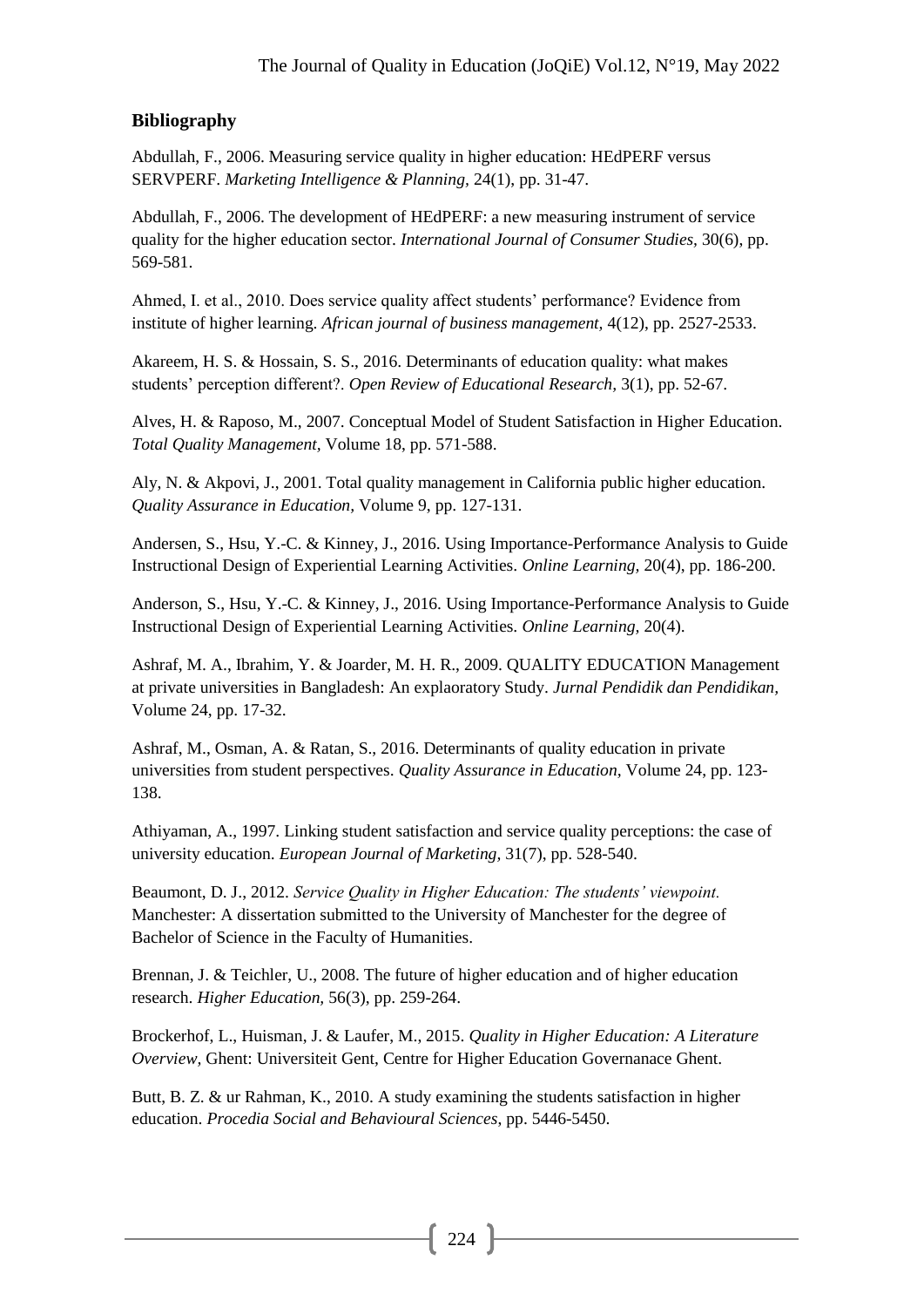# **Bibliography**

Abdullah, F., 2006. Measuring service quality in higher education: HEdPERF versus SERVPERF. *Marketing Intelligence & Planning,* 24(1), pp. 31-47.

Abdullah, F., 2006. The development of HEdPERF: a new measuring instrument of service quality for the higher education sector. *International Journal of Consumer Studies,* 30(6), pp. 569-581.

Ahmed, I. et al., 2010. Does service quality affect students' performance? Evidence from institute of higher learning. *African journal of business management,* 4(12), pp. 2527-2533.

Akareem, H. S. & Hossain, S. S., 2016. Determinants of education quality: what makes students' perception different?. *Open Review of Educational Research,* 3(1), pp. 52-67.

Alves, H. & Raposo, M., 2007. Conceptual Model of Student Satisfaction in Higher Education. *Total Quality Management,* Volume 18, pp. 571-588.

Aly, N. & Akpovi, J., 2001. Total quality management in California public higher education. *Quality Assurance in Education,* Volume 9, pp. 127-131.

Andersen, S., Hsu, Y.-C. & Kinney, J., 2016. Using Importance-Performance Analysis to Guide Instructional Design of Experiential Learning Activities. *Online Learning,* 20(4), pp. 186-200.

Anderson, S., Hsu, Y.-C. & Kinney, J., 2016. Using Importance-Performance Analysis to Guide Instructional Design of Experiential Learning Activities. *Online Learning,* 20(4).

Ashraf, M. A., Ibrahim, Y. & Joarder, M. H. R., 2009. QUALITY EDUCATION Management at private universities in Bangladesh: An explaoratory Study. *Jurnal Pendidik dan Pendidikan,*  Volume 24, pp. 17-32.

Ashraf, M., Osman, A. & Ratan, S., 2016. Determinants of quality education in private universities from student perspectives. *Quality Assurance in Education,* Volume 24, pp. 123- 138.

Athiyaman, A., 1997. Linking student satisfaction and service quality perceptions: the case of university education. *European Journal of Marketing,* 31(7), pp. 528-540.

Beaumont, D. J., 2012. *Service Quality in Higher Education: The students' viewpoint.*  Manchester: A dissertation submitted to the University of Manchester for the degree of Bachelor of Science in the Faculty of Humanities.

Brennan, J. & Teichler, U., 2008. The future of higher education and of higher education research. *Higher Education,* 56(3), pp. 259-264.

Brockerhof, L., Huisman, J. & Laufer, M., 2015. *Quality in Higher Education: A Literature Overview,* Ghent: Universiteit Gent, Centre for Higher Education Governanace Ghent.

Butt, B. Z. & ur Rahman, K., 2010. A study examining the students satisfaction in higher education. *Procedia Social and Behavioural Sciences*, pp. 5446-5450.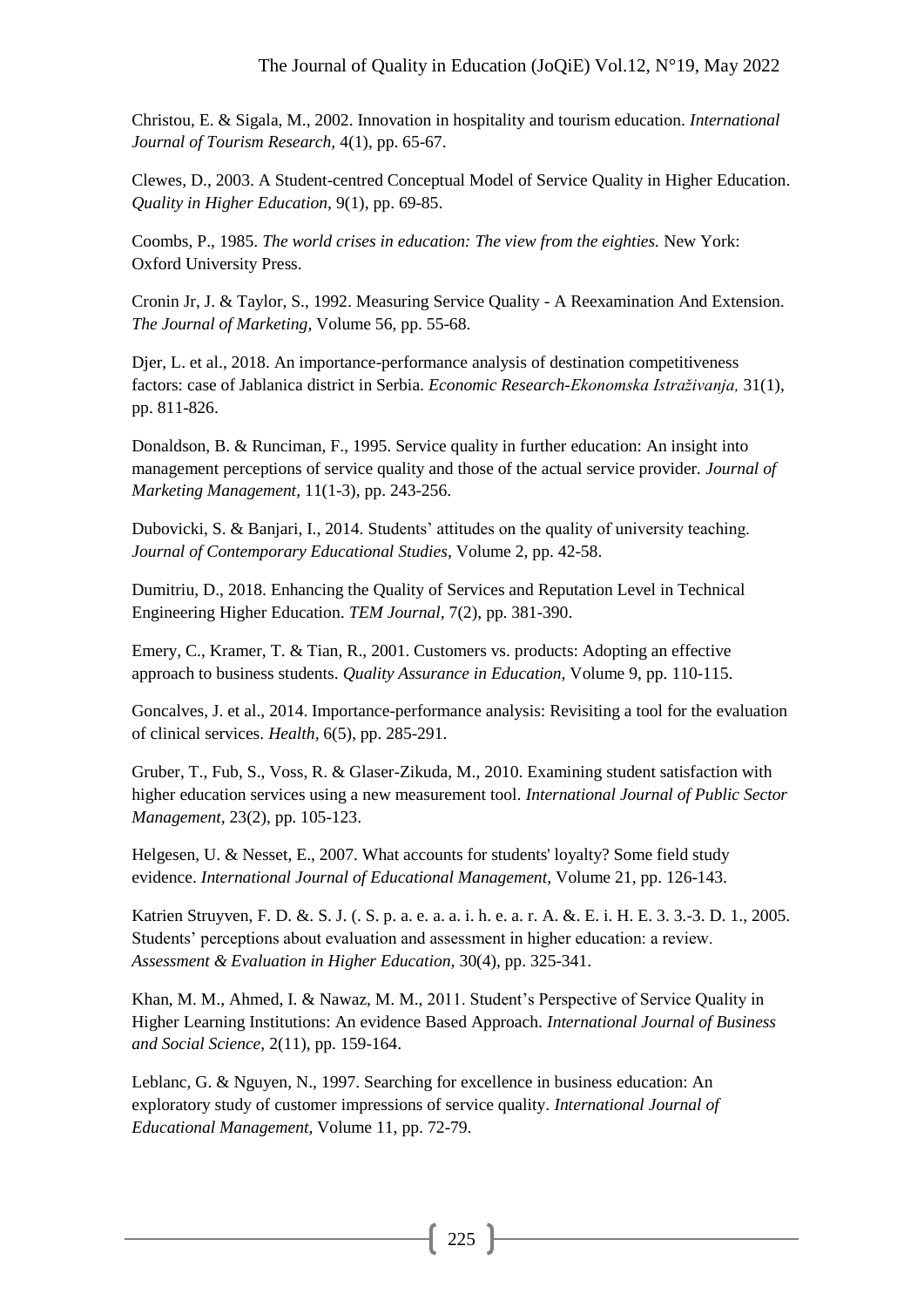Christou, E. & Sigala, M., 2002. Innovation in hospitality and tourism education. *International Journal of Tourism Research,* 4(1), pp. 65-67.

Clewes, D., 2003. A Student-centred Conceptual Model of Service Quality in Higher Education. *Quality in Higher Education,* 9(1), pp. 69-85.

Coombs, P., 1985. *The world crises in education: The view from the eighties.* New York: Oxford University Press.

Cronin Jr, J. & Taylor, S., 1992. Measuring Service Quality - A Reexamination And Extension. *The Journal of Marketing,* Volume 56, pp. 55-68.

Djer, L. et al., 2018. An importance-performance analysis of destination competitiveness factors: case of Jablanica district in Serbia. *Economic Research-Ekonomska Istraživanja,* 31(1), pp. 811-826.

Donaldson, B. & Runciman, F., 1995. Service quality in further education: An insight into management perceptions of service quality and those of the actual service provider. *Journal of Marketing Management,* 11(1-3), pp. 243-256.

Dubovicki, S. & Banjari, I., 2014. Students' attitudes on the quality of university teaching. *Journal of Contemporary Educational Studies,* Volume 2, pp. 42-58.

Dumitriu, D., 2018. Enhancing the Quality of Services and Reputation Level in Technical Engineering Higher Education. *TEM Journal,* 7(2), pp. 381-390.

Emery, C., Kramer, T. & Tian, R., 2001. Customers vs. products: Adopting an effective approach to business students. *Quality Assurance in Education,* Volume 9, pp. 110-115.

Goncalves, J. et al., 2014. Importance-performance analysis: Revisiting a tool for the evaluation of clinical services. *Health,* 6(5), pp. 285-291.

Gruber, T., Fub, S., Voss, R. & Glaser-Zikuda, M., 2010. Examining student satisfaction with higher education services using a new measurement tool. *International Journal of Public Sector Management,* 23(2), pp. 105-123.

Helgesen, U. & Nesset, E., 2007. What accounts for students' loyalty? Some field study evidence. *International Journal of Educational Management,* Volume 21, pp. 126-143.

Katrien Struyven, F. D. &. S. J. (. S. p. a. e. a. a. i. h. e. a. r. A. &. E. i. H. E. 3. 3.-3. D. 1., 2005. Students' perceptions about evaluation and assessment in higher education: a review. *Assessment & Evaluation in Higher Education,* 30(4), pp. 325-341.

Khan, M. M., Ahmed, I. & Nawaz, M. M., 2011. Student's Perspective of Service Quality in Higher Learning Institutions: An evidence Based Approach. *International Journal of Business and Social Science,* 2(11), pp. 159-164.

Leblanc, G. & Nguyen, N., 1997. Searching for excellence in business education: An exploratory study of customer impressions of service quality. *International Journal of Educational Management,* Volume 11, pp. 72-79.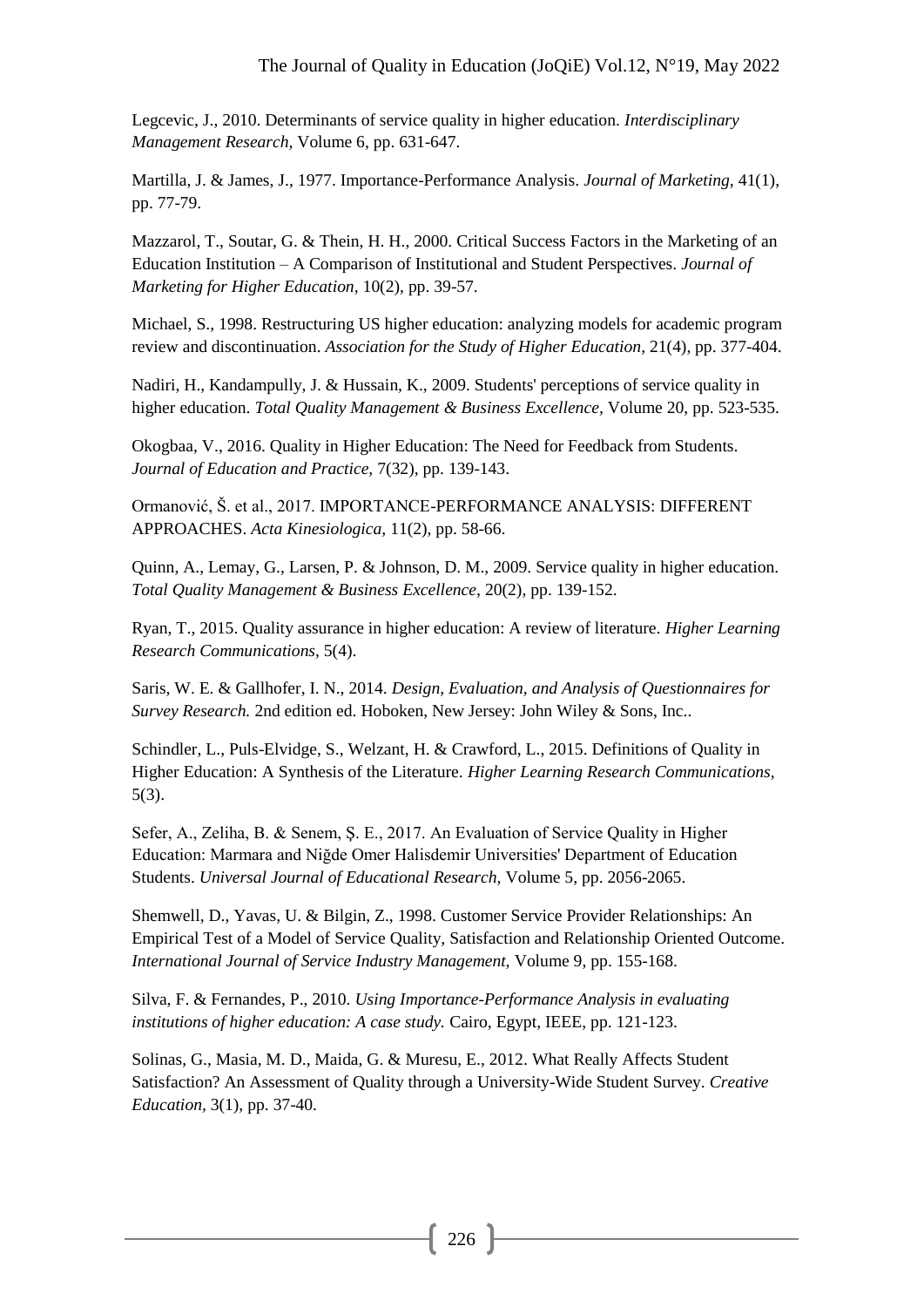Legcevic, J., 2010. Determinants of service quality in higher education. *Interdisciplinary Management Research,* Volume 6, pp. 631-647.

Martilla, J. & James, J., 1977. Importance-Performance Analysis. *Journal of Marketing,* 41(1), pp. 77-79.

Mazzarol, T., Soutar, G. & Thein, H. H., 2000. Critical Success Factors in the Marketing of an Education Institution – A Comparison of Institutional and Student Perspectives. *Journal of Marketing for Higher Education,* 10(2), pp. 39-57.

Michael, S., 1998. Restructuring US higher education: analyzing models for academic program review and discontinuation. *Association for the Study of Higher Education,* 21(4), pp. 377-404.

Nadiri, H., Kandampully, J. & Hussain, K., 2009. Students' perceptions of service quality in higher education. *Total Quality Management & Business Excellence,* Volume 20, pp. 523-535.

Okogbaa, V., 2016. Quality in Higher Education: The Need for Feedback from Students. *Journal of Education and Practice,* 7(32), pp. 139-143.

Ormanović, Š. et al., 2017. IMPORTANCE-PERFORMANCE ANALYSIS: DIFFERENT APPROACHES. *Acta Kinesiologica,* 11(2), pp. 58-66.

Quinn, A., Lemay, G., Larsen, P. & Johnson, D. M., 2009. Service quality in higher education. *Total Quality Management & Business Excellence,* 20(2), pp. 139-152.

Ryan, T., 2015. Quality assurance in higher education: A review of literature. *Higher Learning Research Communications,* 5(4).

Saris, W. E. & Gallhofer, I. N., 2014. *Design, Evaluation, and Analysis of Questionnaires for Survey Research.* 2nd edition ed. Hoboken, New Jersey: John Wiley & Sons, Inc..

Schindler, L., Puls-Elvidge, S., Welzant, H. & Crawford, L., 2015. Definitions of Quality in Higher Education: A Synthesis of the Literature. *Higher Learning Research Communications,*  5(3).

Sefer, A., Zeliha, B. & Senem, Ş. E., 2017. An Evaluation of Service Quality in Higher Education: Marmara and Niğde Omer Halisdemir Universities' Department of Education Students. *Universal Journal of Educational Research,* Volume 5, pp. 2056-2065.

Shemwell, D., Yavas, U. & Bilgin, Z., 1998. Customer Service Provider Relationships: An Empirical Test of a Model of Service Quality, Satisfaction and Relationship Oriented Outcome. *International Journal of Service Industry Management,* Volume 9, pp. 155-168.

Silva, F. & Fernandes, P., 2010. *Using Importance-Performance Analysis in evaluating institutions of higher education: A case study.* Cairo, Egypt, IEEE, pp. 121-123.

Solinas, G., Masia, M. D., Maida, G. & Muresu, E., 2012. What Really Affects Student Satisfaction? An Assessment of Quality through a University-Wide Student Survey. *Creative Education,* 3(1), pp. 37-40.